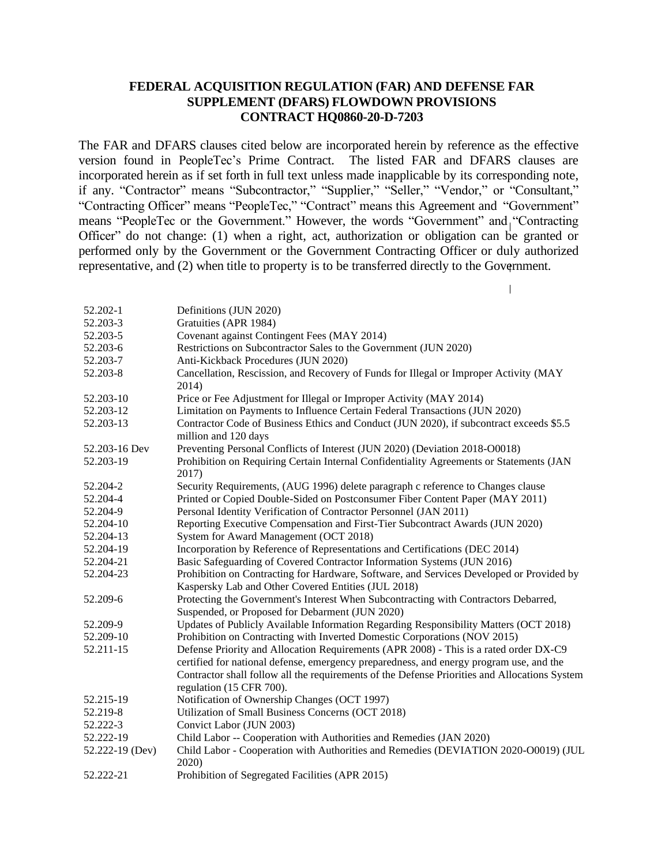# **FEDERAL ACQUISITION REGULATION (FAR) AND DEFENSE FAR SUPPLEMENT (DFARS) FLOWDOWN PROVISIONS CONTRACT HQ0860-20-D-7203**

The FAR and DFARS clauses cited below are incorporated herein by reference as the effective version found in PeopleTec's Prime Contract. The listed FAR and DFARS clauses are incorporated herein as if set forth in full text unless made inapplicable by its corresponding note, if any. "Contractor" means "Subcontractor," "Supplier," "Seller," "Vendor," or "Consultant," "Contracting Officer" means "PeopleTec," "Contract" means this Agreement and "Government" means "PeopleTec or the Government." However, the words "Government" and "Contracting Officer" do not change: (1) when a right, act, authorization or obligation can be granted or performed only by the Government or the Government Contracting Officer or duly authorized representative, and (2) when title to property is to be transferred directly to the Government.

 $\mathbf{L}$ 

| 52.202-1        | Definitions (JUN 2020)                                                                                                                                                                                               |  |  |  |
|-----------------|----------------------------------------------------------------------------------------------------------------------------------------------------------------------------------------------------------------------|--|--|--|
| 52.203-3        | Gratuities (APR 1984)                                                                                                                                                                                                |  |  |  |
| 52.203-5        | Covenant against Contingent Fees (MAY 2014)                                                                                                                                                                          |  |  |  |
| 52.203-6        | Restrictions on Subcontractor Sales to the Government (JUN 2020)                                                                                                                                                     |  |  |  |
| 52.203-7        | Anti-Kickback Procedures (JUN 2020)                                                                                                                                                                                  |  |  |  |
| 52.203-8        | Cancellation, Rescission, and Recovery of Funds for Illegal or Improper Activity (MAY<br>2014)                                                                                                                       |  |  |  |
| 52.203-10       |                                                                                                                                                                                                                      |  |  |  |
| 52.203-12       | Price or Fee Adjustment for Illegal or Improper Activity (MAY 2014)<br>Limitation on Payments to Influence Certain Federal Transactions (JUN 2020)                                                                   |  |  |  |
|                 |                                                                                                                                                                                                                      |  |  |  |
| 52.203-13       | Contractor Code of Business Ethics and Conduct (JUN 2020), if subcontract exceeds \$5.5<br>million and 120 days                                                                                                      |  |  |  |
| 52.203-16 Dev   | Preventing Personal Conflicts of Interest (JUN 2020) (Deviation 2018-O0018)                                                                                                                                          |  |  |  |
| 52.203-19       | Prohibition on Requiring Certain Internal Confidentiality Agreements or Statements (JAN<br>2017)                                                                                                                     |  |  |  |
| 52.204-2        | Security Requirements, (AUG 1996) delete paragraph c reference to Changes clause                                                                                                                                     |  |  |  |
| 52.204-4        | Printed or Copied Double-Sided on Postconsumer Fiber Content Paper (MAY 2011)                                                                                                                                        |  |  |  |
| 52.204-9        | Personal Identity Verification of Contractor Personnel (JAN 2011)                                                                                                                                                    |  |  |  |
| 52.204-10       | Reporting Executive Compensation and First-Tier Subcontract Awards (JUN 2020)                                                                                                                                        |  |  |  |
| 52.204-13       | System for Award Management (OCT 2018)                                                                                                                                                                               |  |  |  |
| 52.204-19       | Incorporation by Reference of Representations and Certifications (DEC 2014)                                                                                                                                          |  |  |  |
| 52.204-21       | Basic Safeguarding of Covered Contractor Information Systems (JUN 2016)                                                                                                                                              |  |  |  |
| 52.204-23       | Prohibition on Contracting for Hardware, Software, and Services Developed or Provided by<br>Kaspersky Lab and Other Covered Entities (JUL 2018)                                                                      |  |  |  |
| 52.209-6        | Protecting the Government's Interest When Subcontracting with Contractors Debarred,                                                                                                                                  |  |  |  |
|                 | Suspended, or Proposed for Debarment (JUN 2020)                                                                                                                                                                      |  |  |  |
| 52.209-9        | Updates of Publicly Available Information Regarding Responsibility Matters (OCT 2018)                                                                                                                                |  |  |  |
| 52.209-10       | Prohibition on Contracting with Inverted Domestic Corporations (NOV 2015)                                                                                                                                            |  |  |  |
| 52.211-15       | Defense Priority and Allocation Requirements (APR 2008) - This is a rated order DX-C9                                                                                                                                |  |  |  |
|                 | certified for national defense, emergency preparedness, and energy program use, and the<br>Contractor shall follow all the requirements of the Defense Priorities and Allocations System<br>regulation (15 CFR 700). |  |  |  |
| 52.215-19       | Notification of Ownership Changes (OCT 1997)                                                                                                                                                                         |  |  |  |
| 52.219-8        | Utilization of Small Business Concerns (OCT 2018)                                                                                                                                                                    |  |  |  |
| 52.222-3        | Convict Labor (JUN 2003)                                                                                                                                                                                             |  |  |  |
| 52.222-19       | Child Labor -- Cooperation with Authorities and Remedies (JAN 2020)                                                                                                                                                  |  |  |  |
| 52.222-19 (Dev) | Child Labor - Cooperation with Authorities and Remedies (DEVIATION 2020-O0019) (JUL<br>2020)                                                                                                                         |  |  |  |
| 52.222-21       | Prohibition of Segregated Facilities (APR 2015)                                                                                                                                                                      |  |  |  |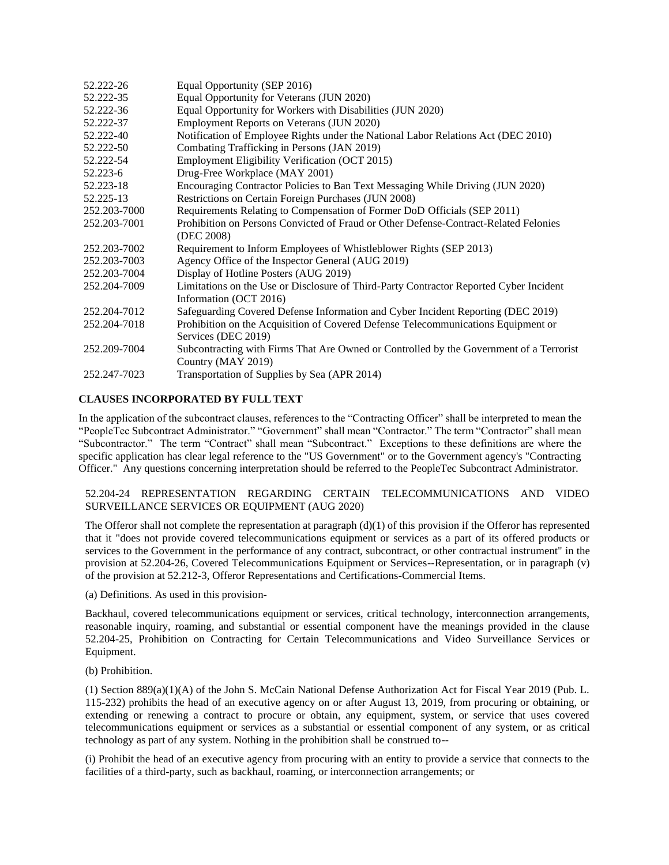| 52.222-26    | Equal Opportunity (SEP 2016)                                                                                     |  |  |  |
|--------------|------------------------------------------------------------------------------------------------------------------|--|--|--|
| 52.222-35    | Equal Opportunity for Veterans (JUN 2020)                                                                        |  |  |  |
| 52.222-36    | Equal Opportunity for Workers with Disabilities (JUN 2020)                                                       |  |  |  |
| 52.222-37    | Employment Reports on Veterans (JUN 2020)                                                                        |  |  |  |
| 52.222-40    | Notification of Employee Rights under the National Labor Relations Act (DEC 2010)                                |  |  |  |
| 52.222-50    | Combating Trafficking in Persons (JAN 2019)                                                                      |  |  |  |
| 52.222-54    | Employment Eligibility Verification (OCT 2015)                                                                   |  |  |  |
| 52.223-6     | Drug-Free Workplace (MAY 2001)                                                                                   |  |  |  |
| 52.223-18    | Encouraging Contractor Policies to Ban Text Messaging While Driving (JUN 2020)                                   |  |  |  |
| 52.225-13    | Restrictions on Certain Foreign Purchases (JUN 2008)                                                             |  |  |  |
| 252.203-7000 | Requirements Relating to Compensation of Former DoD Officials (SEP 2011)                                         |  |  |  |
| 252.203-7001 | Prohibition on Persons Convicted of Fraud or Other Defense-Contract-Related Felonies<br>(DEC 2008)               |  |  |  |
| 252.203-7002 | Requirement to Inform Employees of Whistleblower Rights (SEP 2013)                                               |  |  |  |
| 252.203-7003 | Agency Office of the Inspector General (AUG 2019)                                                                |  |  |  |
| 252.203-7004 | Display of Hotline Posters (AUG 2019)                                                                            |  |  |  |
| 252.204-7009 | Limitations on the Use or Disclosure of Third-Party Contractor Reported Cyber Incident<br>Information (OCT 2016) |  |  |  |
| 252.204-7012 | Safeguarding Covered Defense Information and Cyber Incident Reporting (DEC 2019)                                 |  |  |  |
| 252.204-7018 | Prohibition on the Acquisition of Covered Defense Telecommunications Equipment or<br>Services (DEC 2019)         |  |  |  |
| 252.209-7004 | Subcontracting with Firms That Are Owned or Controlled by the Government of a Terrorist<br>Country (MAY 2019)    |  |  |  |
| 252.247-7023 | Transportation of Supplies by Sea (APR 2014)                                                                     |  |  |  |

# **CLAUSES INCORPORATED BY FULLTEXT**

In the application of the subcontract clauses, references to the "Contracting Officer" shall be interpreted to mean the "PeopleTec Subcontract Administrator." "Government" shall mean "Contractor." The term "Contractor" shall mean "Subcontractor." The term "Contract" shall mean "Subcontract." Exceptions to these definitions are where the specific application has clear legal reference to the "US Government" or to the Government agency's "Contracting Officer." Any questions concerning interpretation should be referred to the PeopleTec Subcontract Administrator.

## 52.204-24 REPRESENTATION REGARDING CERTAIN TELECOMMUNICATIONS AND VIDEO SURVEILLANCE SERVICES OR EQUIPMENT (AUG 2020)

The Offeror shall not complete the representation at paragraph  $(d)(1)$  of this provision if the Offeror has represented that it "does not provide covered telecommunications equipment or services as a part of its offered products or services to the Government in the performance of any contract, subcontract, or other contractual instrument" in the provision at 52.204-26, Covered Telecommunications Equipment or Services--Representation, or in paragraph (v) of the provision at 52.212-3, Offeror Representations and Certifications-Commercial Items.

(a) Definitions. As used in this provision-

Backhaul, covered telecommunications equipment or services, critical technology, interconnection arrangements, reasonable inquiry, roaming, and substantial or essential component have the meanings provided in the clause 52.204-25, Prohibition on Contracting for Certain Telecommunications and Video Surveillance Services or Equipment.

### (b) Prohibition.

(1) Section 889(a)(1)(A) of the John S. McCain National Defense Authorization Act for Fiscal Year 2019 (Pub. L. 115-232) prohibits the head of an executive agency on or after August 13, 2019, from procuring or obtaining, or extending or renewing a contract to procure or obtain, any equipment, system, or service that uses covered telecommunications equipment or services as a substantial or essential component of any system, or as critical technology as part of any system. Nothing in the prohibition shall be construed to--

(i) Prohibit the head of an executive agency from procuring with an entity to provide a service that connects to the facilities of a third-party, such as backhaul, roaming, or interconnection arrangements; or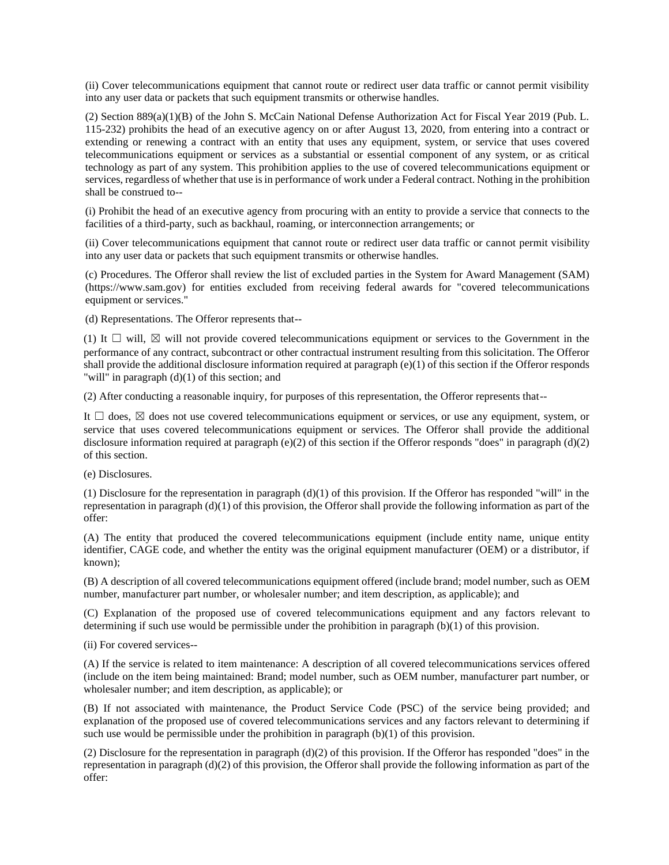(ii) Cover telecommunications equipment that cannot route or redirect user data traffic or cannot permit visibility into any user data or packets that such equipment transmits or otherwise handles.

(2) Section 889(a)(1)(B) of the John S. McCain National Defense Authorization Act for Fiscal Year 2019 (Pub. L. 115-232) prohibits the head of an executive agency on or after August 13, 2020, from entering into a contract or extending or renewing a contract with an entity that uses any equipment, system, or service that uses covered telecommunications equipment or services as a substantial or essential component of any system, or as critical technology as part of any system. This prohibition applies to the use of covered telecommunications equipment or services, regardless of whether that use is in performance of work under a Federal contract. Nothing in the prohibition shall be construed to--

(i) Prohibit the head of an executive agency from procuring with an entity to provide a service that connects to the facilities of a third-party, such as backhaul, roaming, or interconnection arrangements; or

(ii) Cover telecommunications equipment that cannot route or redirect user data traffic or cannot permit visibility into any user data or packets that such equipment transmits or otherwise handles.

(c) Procedures. The Offeror shall review the list of excluded parties in the System for Award Management (SAM) (https://www.sam.gov) for entities excluded from receiving federal awards for "covered telecommunications equipment or services."

(d) Representations. The Offeror represents that--

(1) It  $\Box$  will,  $\boxtimes$  will not provide covered telecommunications equipment or services to the Government in the performance of any contract, subcontract or other contractual instrument resulting from this solicitation. The Offeror shall provide the additional disclosure information required at paragraph  $(e)(1)$  of this section if the Offeror responds "will" in paragraph (d)(1) of this section; and

(2) After conducting a reasonable inquiry, for purposes of this representation, the Offeror represents that--

It  $\Box$  does,  $\boxtimes$  does not use covered telecommunications equipment or services, or use any equipment, system, or service that uses covered telecommunications equipment or services. The Offeror shall provide the additional disclosure information required at paragraph (e)(2) of this section if the Offeror responds "does" in paragraph (d)(2) of this section.

(e) Disclosures.

(1) Disclosure for the representation in paragraph  $(d)(1)$  of this provision. If the Offeror has responded "will" in the representation in paragraph  $(d)(1)$  of this provision, the Offeror shall provide the following information as part of the offer:

(A) The entity that produced the covered telecommunications equipment (include entity name, unique entity identifier, CAGE code, and whether the entity was the original equipment manufacturer (OEM) or a distributor, if known);

(B) A description of all covered telecommunications equipment offered (include brand; model number, such as OEM number, manufacturer part number, or wholesaler number; and item description, as applicable); and

(C) Explanation of the proposed use of covered telecommunications equipment and any factors relevant to determining if such use would be permissible under the prohibition in paragraph (b)(1) of this provision.

(ii) For covered services--

(A) If the service is related to item maintenance: A description of all covered telecommunications services offered (include on the item being maintained: Brand; model number, such as OEM number, manufacturer part number, or wholesaler number; and item description, as applicable); or

(B) If not associated with maintenance, the Product Service Code (PSC) of the service being provided; and explanation of the proposed use of covered telecommunications services and any factors relevant to determining if such use would be permissible under the prohibition in paragraph (b)(1) of this provision.

(2) Disclosure for the representation in paragraph (d)(2) of this provision. If the Offeror has responded "does" in the representation in paragraph (d)(2) of this provision, the Offeror shall provide the following information as part of the offer: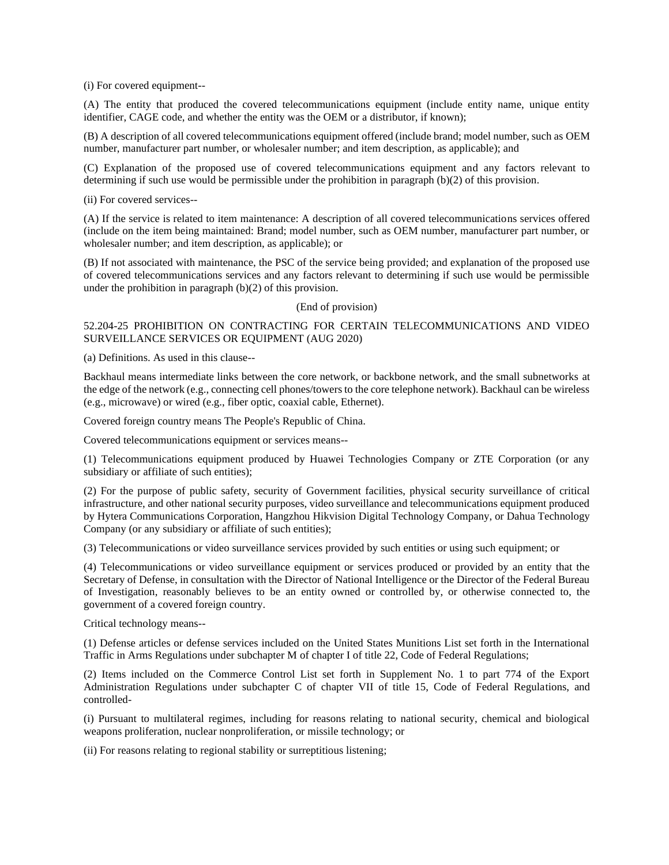(i) For covered equipment--

(A) The entity that produced the covered telecommunications equipment (include entity name, unique entity identifier, CAGE code, and whether the entity was the OEM or a distributor, if known);

(B) A description of all covered telecommunications equipment offered (include brand; model number, such as OEM number, manufacturer part number, or wholesaler number; and item description, as applicable); and

(C) Explanation of the proposed use of covered telecommunications equipment and any factors relevant to determining if such use would be permissible under the prohibition in paragraph (b)(2) of this provision.

(ii) For covered services--

(A) If the service is related to item maintenance: A description of all covered telecommunications services offered (include on the item being maintained: Brand; model number, such as OEM number, manufacturer part number, or wholesaler number; and item description, as applicable); or

(B) If not associated with maintenance, the PSC of the service being provided; and explanation of the proposed use of covered telecommunications services and any factors relevant to determining if such use would be permissible under the prohibition in paragraph (b)(2) of this provision.

### (End of provision)

# 52.204-25 PROHIBITION ON CONTRACTING FOR CERTAIN TELECOMMUNICATIONS AND VIDEO SURVEILLANCE SERVICES OR EQUIPMENT (AUG 2020)

(a) Definitions. As used in this clause--

Backhaul means intermediate links between the core network, or backbone network, and the small subnetworks at the edge of the network (e.g., connecting cell phones/towers to the core telephone network). Backhaul can be wireless (e.g., microwave) or wired (e.g., fiber optic, coaxial cable, Ethernet).

Covered foreign country means The People's Republic of China.

Covered telecommunications equipment or services means--

(1) Telecommunications equipment produced by Huawei Technologies Company or ZTE Corporation (or any subsidiary or affiliate of such entities);

(2) For the purpose of public safety, security of Government facilities, physical security surveillance of critical infrastructure, and other national security purposes, video surveillance and telecommunications equipment produced by Hytera Communications Corporation, Hangzhou Hikvision Digital Technology Company, or Dahua Technology Company (or any subsidiary or affiliate of such entities);

(3) Telecommunications or video surveillance services provided by such entities or using such equipment; or

(4) Telecommunications or video surveillance equipment or services produced or provided by an entity that the Secretary of Defense, in consultation with the Director of National Intelligence or the Director of the Federal Bureau of Investigation, reasonably believes to be an entity owned or controlled by, or otherwise connected to, the government of a covered foreign country.

Critical technology means--

(1) Defense articles or defense services included on the United States Munitions List set forth in the International Traffic in Arms Regulations under subchapter M of chapter I of title 22, Code of Federal Regulations;

(2) Items included on the Commerce Control List set forth in Supplement No. 1 to part 774 of the Export Administration Regulations under subchapter C of chapter VII of title 15, Code of Federal Regulations, and controlled-

(i) Pursuant to multilateral regimes, including for reasons relating to national security, chemical and biological weapons proliferation, nuclear nonproliferation, or missile technology; or

(ii) For reasons relating to regional stability or surreptitious listening;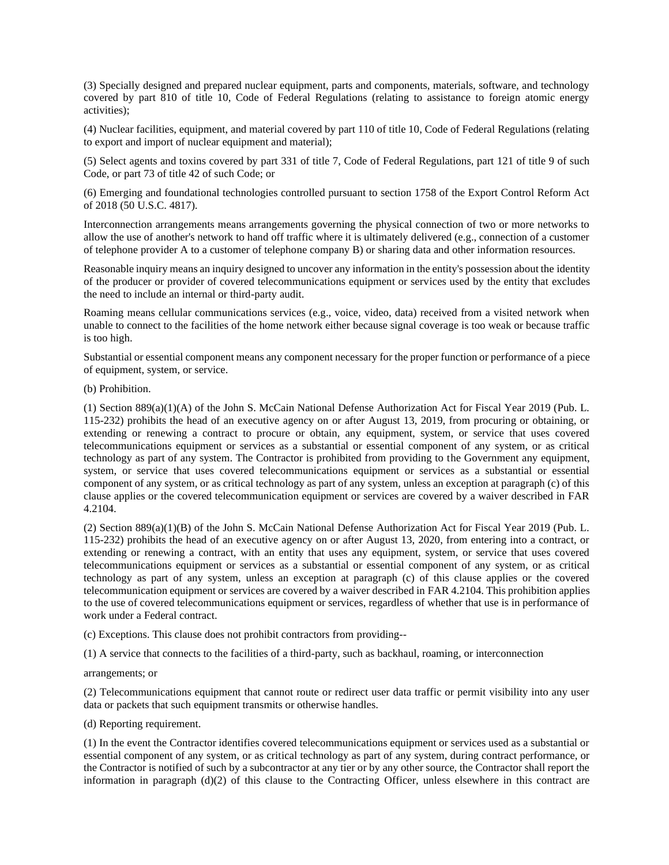(3) Specially designed and prepared nuclear equipment, parts and components, materials, software, and technology covered by part 810 of title 10, Code of Federal Regulations (relating to assistance to foreign atomic energy activities);

(4) Nuclear facilities, equipment, and material covered by part 110 of title 10, Code of Federal Regulations (relating to export and import of nuclear equipment and material);

(5) Select agents and toxins covered by part 331 of title 7, Code of Federal Regulations, part 121 of title 9 of such Code, or part 73 of title 42 of such Code; or

(6) Emerging and foundational technologies controlled pursuant to section 1758 of the Export Control Reform Act of 2018 (50 U.S.C. 4817).

Interconnection arrangements means arrangements governing the physical connection of two or more networks to allow the use of another's network to hand off traffic where it is ultimately delivered (e.g., connection of a customer of telephone provider A to a customer of telephone company B) or sharing data and other information resources.

Reasonable inquiry means an inquiry designed to uncover any information in the entity's possession about the identity of the producer or provider of covered telecommunications equipment or services used by the entity that excludes the need to include an internal or third-party audit.

Roaming means cellular communications services (e.g., voice, video, data) received from a visited network when unable to connect to the facilities of the home network either because signal coverage is too weak or because traffic is too high.

Substantial or essential component means any component necessary for the proper function or performance of a piece of equipment, system, or service.

(b) Prohibition.

(1) Section 889(a)(1)(A) of the John S. McCain National Defense Authorization Act for Fiscal Year 2019 (Pub. L. 115-232) prohibits the head of an executive agency on or after August 13, 2019, from procuring or obtaining, or extending or renewing a contract to procure or obtain, any equipment, system, or service that uses covered telecommunications equipment or services as a substantial or essential component of any system, or as critical technology as part of any system. The Contractor is prohibited from providing to the Government any equipment, system, or service that uses covered telecommunications equipment or services as a substantial or essential component of any system, or as critical technology as part of any system, unless an exception at paragraph (c) of this clause applies or the covered telecommunication equipment or services are covered by a waiver described in FAR 4.2104.

(2) Section 889(a)(1)(B) of the John S. McCain National Defense Authorization Act for Fiscal Year 2019 (Pub. L. 115-232) prohibits the head of an executive agency on or after August 13, 2020, from entering into a contract, or extending or renewing a contract, with an entity that uses any equipment, system, or service that uses covered telecommunications equipment or services as a substantial or essential component of any system, or as critical technology as part of any system, unless an exception at paragraph (c) of this clause applies or the covered telecommunication equipment or services are covered by a waiver described in FAR 4.2104. This prohibition applies to the use of covered telecommunications equipment or services, regardless of whether that use is in performance of work under a Federal contract.

(c) Exceptions. This clause does not prohibit contractors from providing--

(1) A service that connects to the facilities of a third-party, such as backhaul, roaming, or interconnection

#### arrangements; or

(2) Telecommunications equipment that cannot route or redirect user data traffic or permit visibility into any user data or packets that such equipment transmits or otherwise handles.

### (d) Reporting requirement.

(1) In the event the Contractor identifies covered telecommunications equipment or services used as a substantial or essential component of any system, or as critical technology as part of any system, during contract performance, or the Contractor is notified of such by a subcontractor at any tier or by any other source, the Contractor shall report the information in paragraph (d)(2) of this clause to the Contracting Officer, unless elsewhere in this contract are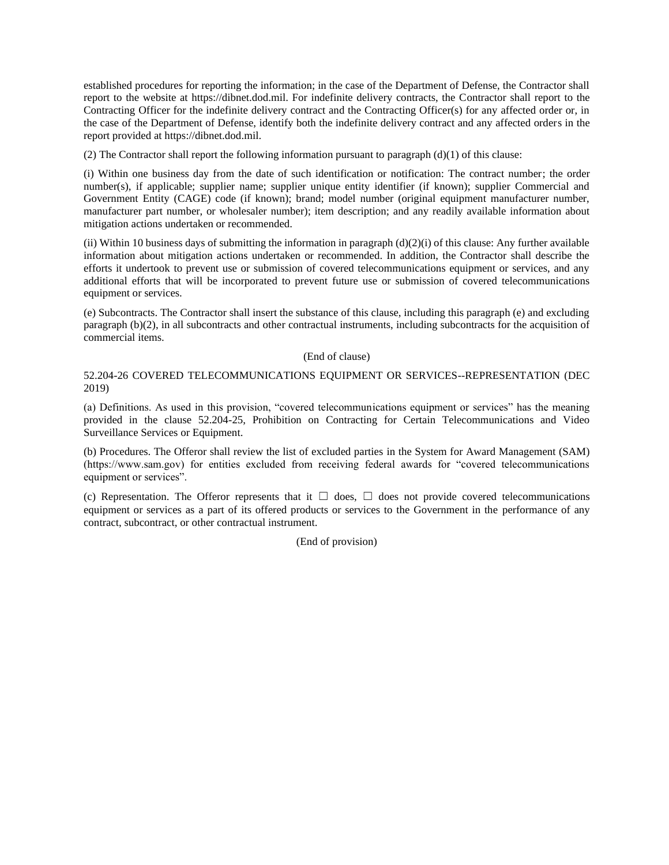established procedures for reporting the information; in the case of the Department of Defense, the Contractor shall report to the website at https://dibnet.dod.mil. For indefinite delivery contracts, the Contractor shall report to the Contracting Officer for the indefinite delivery contract and the Contracting Officer(s) for any affected order or, in the case of the Department of Defense, identify both the indefinite delivery contract and any affected orders in the report provided at https://dibnet.dod.mil.

(2) The Contractor shall report the following information pursuant to paragraph  $(d)(1)$  of this clause:

(i) Within one business day from the date of such identification or notification: The contract number; the order number(s), if applicable; supplier name; supplier unique entity identifier (if known); supplier Commercial and Government Entity (CAGE) code (if known); brand; model number (original equipment manufacturer number, manufacturer part number, or wholesaler number); item description; and any readily available information about mitigation actions undertaken or recommended.

(ii) Within 10 business days of submitting the information in paragraph  $(d)(2)(i)$  of this clause: Any further available information about mitigation actions undertaken or recommended. In addition, the Contractor shall describe the efforts it undertook to prevent use or submission of covered telecommunications equipment or services, and any additional efforts that will be incorporated to prevent future use or submission of covered telecommunications equipment or services.

(e) Subcontracts. The Contractor shall insert the substance of this clause, including this paragraph (e) and excluding paragraph (b)(2), in all subcontracts and other contractual instruments, including subcontracts for the acquisition of commercial items.

### (End of clause)

# 52.204-26 COVERED TELECOMMUNICATIONS EQUIPMENT OR SERVICES--REPRESENTATION (DEC 2019)

(a) Definitions. As used in this provision, "covered telecommunications equipment or services" has the meaning provided in the clause 52.204-25, Prohibition on Contracting for Certain Telecommunications and Video Surveillance Services or Equipment.

(b) Procedures. The Offeror shall review the list of excluded parties in the System for Award Management (SAM) (https://www.sam.gov) for entities excluded from receiving federal awards for "covered telecommunications equipment or services".

(c) Representation. The Offeror represents that it  $\Box$  does,  $\Box$  does not provide covered telecommunications equipment or services as a part of its offered products or services to the Government in the performance of any contract, subcontract, or other contractual instrument.

(End of provision)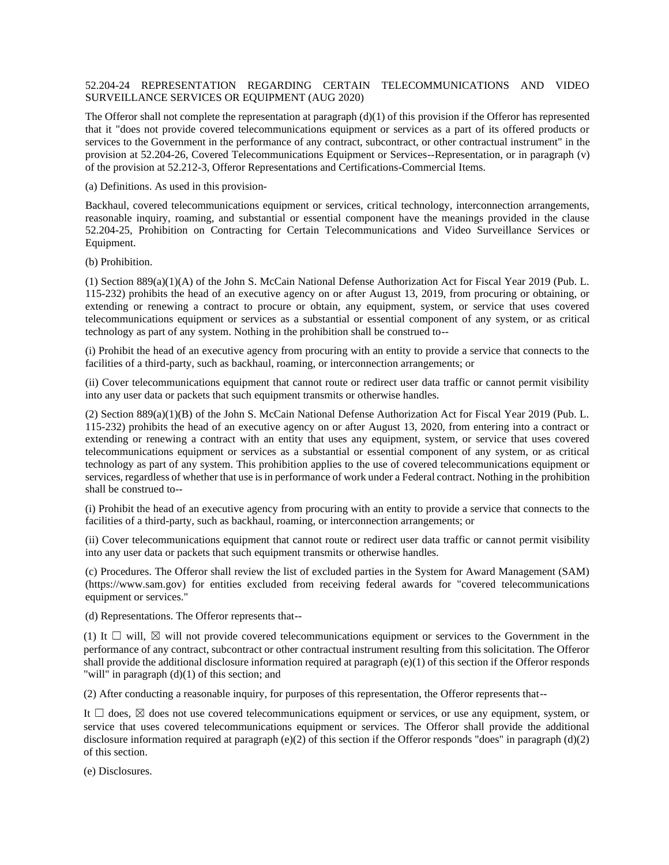### 52.204-24 REPRESENTATION REGARDING CERTAIN TELECOMMUNICATIONS AND VIDEO SURVEILLANCE SERVICES OR EQUIPMENT (AUG 2020)

The Offeror shall not complete the representation at paragraph  $(d)(1)$  of this provision if the Offeror has represented that it "does not provide covered telecommunications equipment or services as a part of its offered products or services to the Government in the performance of any contract, subcontract, or other contractual instrument" in the provision at 52.204-26, Covered Telecommunications Equipment or Services--Representation, or in paragraph (v) of the provision at 52.212-3, Offeror Representations and Certifications-Commercial Items.

(a) Definitions. As used in this provision-

Backhaul, covered telecommunications equipment or services, critical technology, interconnection arrangements, reasonable inquiry, roaming, and substantial or essential component have the meanings provided in the clause 52.204-25, Prohibition on Contracting for Certain Telecommunications and Video Surveillance Services or Equipment.

(b) Prohibition.

(1) Section 889(a)(1)(A) of the John S. McCain National Defense Authorization Act for Fiscal Year 2019 (Pub. L. 115-232) prohibits the head of an executive agency on or after August 13, 2019, from procuring or obtaining, or extending or renewing a contract to procure or obtain, any equipment, system, or service that uses covered telecommunications equipment or services as a substantial or essential component of any system, or as critical technology as part of any system. Nothing in the prohibition shall be construed to--

(i) Prohibit the head of an executive agency from procuring with an entity to provide a service that connects to the facilities of a third-party, such as backhaul, roaming, or interconnection arrangements; or

(ii) Cover telecommunications equipment that cannot route or redirect user data traffic or cannot permit visibility into any user data or packets that such equipment transmits or otherwise handles.

(2) Section 889(a)(1)(B) of the John S. McCain National Defense Authorization Act for Fiscal Year 2019 (Pub. L. 115-232) prohibits the head of an executive agency on or after August 13, 2020, from entering into a contract or extending or renewing a contract with an entity that uses any equipment, system, or service that uses covered telecommunications equipment or services as a substantial or essential component of any system, or as critical technology as part of any system. This prohibition applies to the use of covered telecommunications equipment or services, regardless of whether that use is in performance of work under a Federal contract. Nothing in the prohibition shall be construed to--

(i) Prohibit the head of an executive agency from procuring with an entity to provide a service that connects to the facilities of a third-party, such as backhaul, roaming, or interconnection arrangements; or

(ii) Cover telecommunications equipment that cannot route or redirect user data traffic or cannot permit visibility into any user data or packets that such equipment transmits or otherwise handles.

(c) Procedures. The Offeror shall review the list of excluded parties in the System for Award Management (SAM) (https://www.sam.gov) for entities excluded from receiving federal awards for "covered telecommunications equipment or services."

(d) Representations. The Offeror represents that--

(1) It  $\Box$  will,  $\boxtimes$  will not provide covered telecommunications equipment or services to the Government in the performance of any contract, subcontract or other contractual instrument resulting from this solicitation. The Offeror shall provide the additional disclosure information required at paragraph (e)(1) of this section if the Offeror responds "will" in paragraph (d)(1) of this section; and

(2) After conducting a reasonable inquiry, for purposes of this representation, the Offeror represents that--

It  $\Box$  does,  $\boxtimes$  does not use covered telecommunications equipment or services, or use any equipment, system, or service that uses covered telecommunications equipment or services. The Offeror shall provide the additional disclosure information required at paragraph  $(e)(2)$  of this section if the Offeror responds "does" in paragraph  $(d)(2)$ of this section.

(e) Disclosures.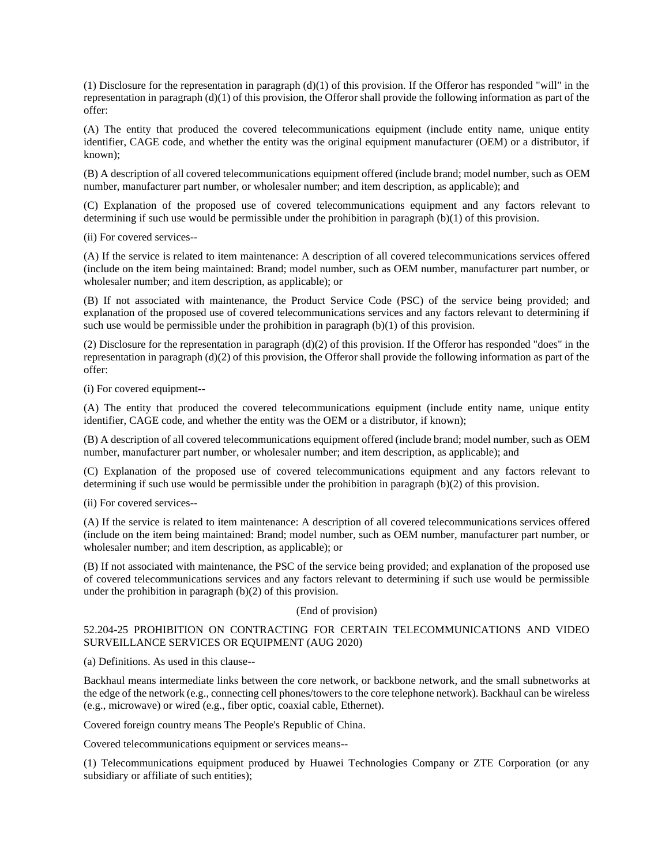(1) Disclosure for the representation in paragraph  $(d)(1)$  of this provision. If the Offeror has responded "will" in the representation in paragraph  $(d)(1)$  of this provision, the Offeror shall provide the following information as part of the offer:

(A) The entity that produced the covered telecommunications equipment (include entity name, unique entity identifier, CAGE code, and whether the entity was the original equipment manufacturer (OEM) or a distributor, if known);

(B) A description of all covered telecommunications equipment offered (include brand; model number, such as OEM number, manufacturer part number, or wholesaler number; and item description, as applicable); and

(C) Explanation of the proposed use of covered telecommunications equipment and any factors relevant to determining if such use would be permissible under the prohibition in paragraph  $(b)(1)$  of this provision.

(ii) For covered services--

(A) If the service is related to item maintenance: A description of all covered telecommunications services offered (include on the item being maintained: Brand; model number, such as OEM number, manufacturer part number, or wholesaler number; and item description, as applicable); or

(B) If not associated with maintenance, the Product Service Code (PSC) of the service being provided; and explanation of the proposed use of covered telecommunications services and any factors relevant to determining if such use would be permissible under the prohibition in paragraph (b)(1) of this provision.

(2) Disclosure for the representation in paragraph  $(d)(2)$  of this provision. If the Offeror has responded "does" in the representation in paragraph (d)(2) of this provision, the Offeror shall provide the following information as part of the offer:

(i) For covered equipment--

(A) The entity that produced the covered telecommunications equipment (include entity name, unique entity identifier, CAGE code, and whether the entity was the OEM or a distributor, if known);

(B) A description of all covered telecommunications equipment offered (include brand; model number, such as OEM number, manufacturer part number, or wholesaler number; and item description, as applicable); and

(C) Explanation of the proposed use of covered telecommunications equipment and any factors relevant to determining if such use would be permissible under the prohibition in paragraph (b)(2) of this provision.

(ii) For covered services--

(A) If the service is related to item maintenance: A description of all covered telecommunications services offered (include on the item being maintained: Brand; model number, such as OEM number, manufacturer part number, or wholesaler number; and item description, as applicable); or

(B) If not associated with maintenance, the PSC of the service being provided; and explanation of the proposed use of covered telecommunications services and any factors relevant to determining if such use would be permissible under the prohibition in paragraph (b)(2) of this provision.

### (End of provision)

# 52.204-25 PROHIBITION ON CONTRACTING FOR CERTAIN TELECOMMUNICATIONS AND VIDEO SURVEILLANCE SERVICES OR EQUIPMENT (AUG 2020)

(a) Definitions. As used in this clause--

Backhaul means intermediate links between the core network, or backbone network, and the small subnetworks at the edge of the network (e.g., connecting cell phones/towers to the core telephone network). Backhaul can be wireless (e.g., microwave) or wired (e.g., fiber optic, coaxial cable, Ethernet).

Covered foreign country means The People's Republic of China.

Covered telecommunications equipment or services means--

(1) Telecommunications equipment produced by Huawei Technologies Company or ZTE Corporation (or any subsidiary or affiliate of such entities);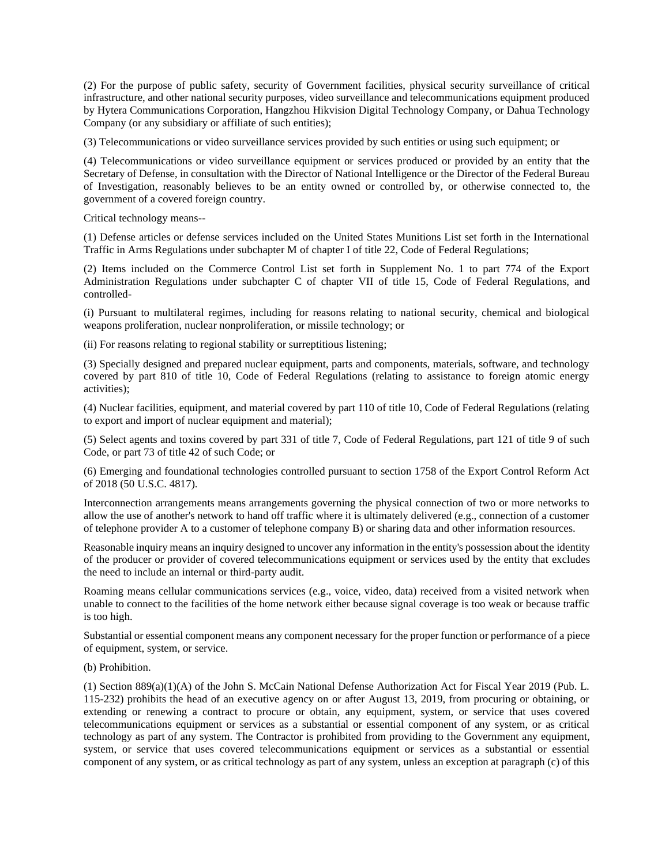(2) For the purpose of public safety, security of Government facilities, physical security surveillance of critical infrastructure, and other national security purposes, video surveillance and telecommunications equipment produced by Hytera Communications Corporation, Hangzhou Hikvision Digital Technology Company, or Dahua Technology Company (or any subsidiary or affiliate of such entities);

(3) Telecommunications or video surveillance services provided by such entities or using such equipment; or

(4) Telecommunications or video surveillance equipment or services produced or provided by an entity that the Secretary of Defense, in consultation with the Director of National Intelligence or the Director of the Federal Bureau of Investigation, reasonably believes to be an entity owned or controlled by, or otherwise connected to, the government of a covered foreign country.

Critical technology means--

(1) Defense articles or defense services included on the United States Munitions List set forth in the International Traffic in Arms Regulations under subchapter M of chapter I of title 22, Code of Federal Regulations;

(2) Items included on the Commerce Control List set forth in Supplement No. 1 to part 774 of the Export Administration Regulations under subchapter C of chapter VII of title 15, Code of Federal Regulations, and controlled-

(i) Pursuant to multilateral regimes, including for reasons relating to national security, chemical and biological weapons proliferation, nuclear nonproliferation, or missile technology; or

(ii) For reasons relating to regional stability or surreptitious listening;

(3) Specially designed and prepared nuclear equipment, parts and components, materials, software, and technology covered by part 810 of title 10, Code of Federal Regulations (relating to assistance to foreign atomic energy activities);

(4) Nuclear facilities, equipment, and material covered by part 110 of title 10, Code of Federal Regulations (relating to export and import of nuclear equipment and material);

(5) Select agents and toxins covered by part 331 of title 7, Code of Federal Regulations, part 121 of title 9 of such Code, or part 73 of title 42 of such Code; or

(6) Emerging and foundational technologies controlled pursuant to section 1758 of the Export Control Reform Act of 2018 (50 U.S.C. 4817).

Interconnection arrangements means arrangements governing the physical connection of two or more networks to allow the use of another's network to hand off traffic where it is ultimately delivered (e.g., connection of a customer of telephone provider A to a customer of telephone company B) or sharing data and other information resources.

Reasonable inquiry means an inquiry designed to uncover any information in the entity's possession about the identity of the producer or provider of covered telecommunications equipment or services used by the entity that excludes the need to include an internal or third-party audit.

Roaming means cellular communications services (e.g., voice, video, data) received from a visited network when unable to connect to the facilities of the home network either because signal coverage is too weak or because traffic is too high.

Substantial or essential component means any component necessary for the proper function or performance of a piece of equipment, system, or service.

(b) Prohibition.

(1) Section 889(a)(1)(A) of the John S. McCain National Defense Authorization Act for Fiscal Year 2019 (Pub. L. 115-232) prohibits the head of an executive agency on or after August 13, 2019, from procuring or obtaining, or extending or renewing a contract to procure or obtain, any equipment, system, or service that uses covered telecommunications equipment or services as a substantial or essential component of any system, or as critical technology as part of any system. The Contractor is prohibited from providing to the Government any equipment, system, or service that uses covered telecommunications equipment or services as a substantial or essential component of any system, or as critical technology as part of any system, unless an exception at paragraph (c) of this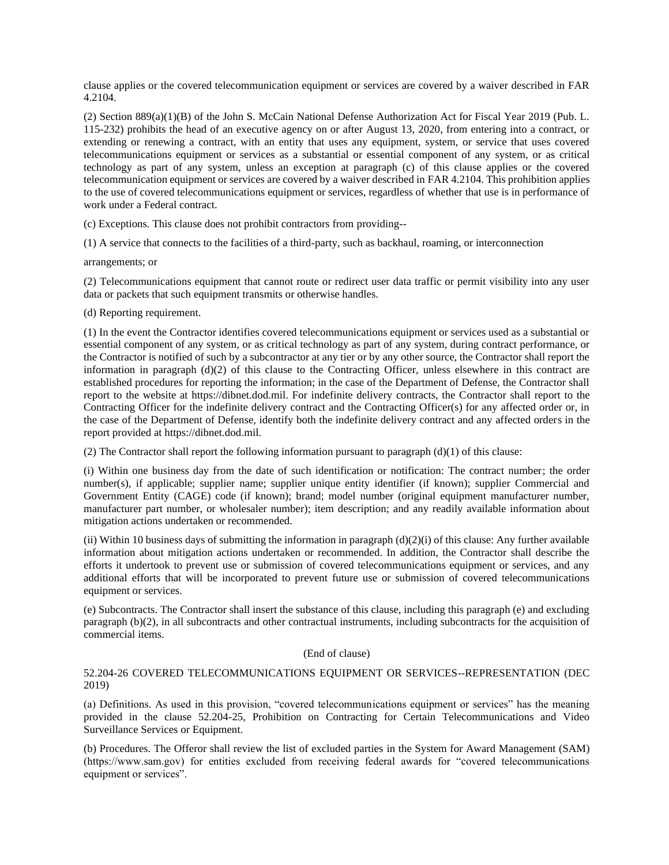clause applies or the covered telecommunication equipment or services are covered by a waiver described in FAR 4.2104.

(2) Section 889(a)(1)(B) of the John S. McCain National Defense Authorization Act for Fiscal Year 2019 (Pub. L. 115-232) prohibits the head of an executive agency on or after August 13, 2020, from entering into a contract, or extending or renewing a contract, with an entity that uses any equipment, system, or service that uses covered telecommunications equipment or services as a substantial or essential component of any system, or as critical technology as part of any system, unless an exception at paragraph (c) of this clause applies or the covered telecommunication equipment or services are covered by a waiver described in FAR 4.2104. This prohibition applies to the use of covered telecommunications equipment or services, regardless of whether that use is in performance of work under a Federal contract.

(c) Exceptions. This clause does not prohibit contractors from providing--

(1) A service that connects to the facilities of a third-party, such as backhaul, roaming, or interconnection

arrangements; or

(2) Telecommunications equipment that cannot route or redirect user data traffic or permit visibility into any user data or packets that such equipment transmits or otherwise handles.

(d) Reporting requirement.

(1) In the event the Contractor identifies covered telecommunications equipment or services used as a substantial or essential component of any system, or as critical technology as part of any system, during contract performance, or the Contractor is notified of such by a subcontractor at any tier or by any other source, the Contractor shall report the information in paragraph  $(d)(2)$  of this clause to the Contracting Officer, unless elsewhere in this contract are established procedures for reporting the information; in the case of the Department of Defense, the Contractor shall report to the website at https://dibnet.dod.mil. For indefinite delivery contracts, the Contractor shall report to the Contracting Officer for the indefinite delivery contract and the Contracting Officer(s) for any affected order or, in the case of the Department of Defense, identify both the indefinite delivery contract and any affected orders in the report provided at https://dibnet.dod.mil.

(2) The Contractor shall report the following information pursuant to paragraph  $(d)(1)$  of this clause:

(i) Within one business day from the date of such identification or notification: The contract number; the order number(s), if applicable; supplier name; supplier unique entity identifier (if known); supplier Commercial and Government Entity (CAGE) code (if known); brand; model number (original equipment manufacturer number, manufacturer part number, or wholesaler number); item description; and any readily available information about mitigation actions undertaken or recommended.

(ii) Within 10 business days of submitting the information in paragraph  $(d)(2)(i)$  of this clause: Any further available information about mitigation actions undertaken or recommended. In addition, the Contractor shall describe the efforts it undertook to prevent use or submission of covered telecommunications equipment or services, and any additional efforts that will be incorporated to prevent future use or submission of covered telecommunications equipment or services.

(e) Subcontracts. The Contractor shall insert the substance of this clause, including this paragraph (e) and excluding paragraph (b)(2), in all subcontracts and other contractual instruments, including subcontracts for the acquisition of commercial items.

(End of clause)

# 52.204-26 COVERED TELECOMMUNICATIONS EQUIPMENT OR SERVICES--REPRESENTATION (DEC 2019)

(a) Definitions. As used in this provision, "covered telecommunications equipment or services" has the meaning provided in the clause 52.204-25, Prohibition on Contracting for Certain Telecommunications and Video Surveillance Services or Equipment.

(b) Procedures. The Offeror shall review the list of excluded parties in the System for Award Management (SAM) (https://www.sam.gov) for entities excluded from receiving federal awards for "covered telecommunications equipment or services".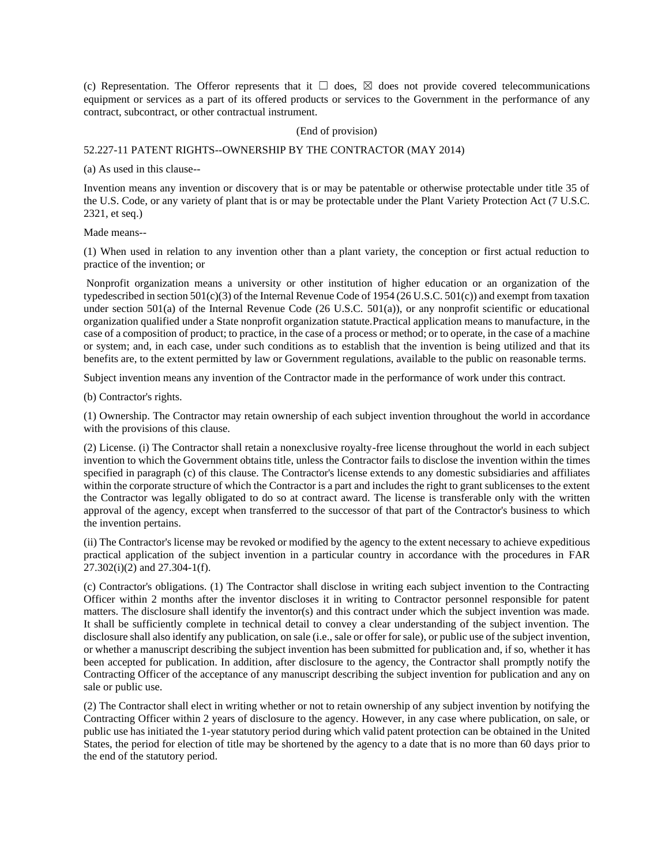(c) Representation. The Offeror represents that it  $\Box$  does,  $\boxtimes$  does not provide covered telecommunications equipment or services as a part of its offered products or services to the Government in the performance of any contract, subcontract, or other contractual instrument.

### (End of provision)

## 52.227-11 PATENT RIGHTS--OWNERSHIP BY THE CONTRACTOR (MAY 2014)

(a) As used in this clause--

Invention means any invention or discovery that is or may be patentable or otherwise protectable under title 35 of the U.S. Code, or any variety of plant that is or may be protectable under the Plant Variety Protection Act (7 U.S.C. 2321, et seq.)

Made means--

(1) When used in relation to any invention other than a plant variety, the conception or first actual reduction to practice of the invention; or

Nonprofit organization means a university or other institution of higher education or an organization of the typedescribed in section 501(c)(3) of the Internal Revenue Code of 1954 (26 U.S.C. 501(c)) and exempt from taxation under section 501(a) of the Internal Revenue Code (26 U.S.C. 501(a)), or any nonprofit scientific or educational organization qualified under a State nonprofit organization statute.Practical application means to manufacture, in the case of a composition of product; to practice, in the case of a process or method; or to operate, in the case of a machine or system; and, in each case, under such conditions as to establish that the invention is being utilized and that its benefits are, to the extent permitted by law or Government regulations, available to the public on reasonable terms.

Subject invention means any invention of the Contractor made in the performance of work under this contract.

(b) Contractor's rights.

(1) Ownership. The Contractor may retain ownership of each subject invention throughout the world in accordance with the provisions of this clause.

(2) License. (i) The Contractor shall retain a nonexclusive royalty-free license throughout the world in each subject invention to which the Government obtains title, unless the Contractor fails to disclose the invention within the times specified in paragraph (c) of this clause. The Contractor's license extends to any domestic subsidiaries and affiliates within the corporate structure of which the Contractor is a part and includes the right to grant sublicenses to the extent the Contractor was legally obligated to do so at contract award. The license is transferable only with the written approval of the agency, except when transferred to the successor of that part of the Contractor's business to which the invention pertains.

(ii) The Contractor's license may be revoked or modified by the agency to the extent necessary to achieve expeditious practical application of the subject invention in a particular country in accordance with the procedures in FAR  $27.302(i)(2)$  and  $27.304-1(f)$ .

(c) Contractor's obligations. (1) The Contractor shall disclose in writing each subject invention to the Contracting Officer within 2 months after the inventor discloses it in writing to Contractor personnel responsible for patent matters. The disclosure shall identify the inventor(s) and this contract under which the subject invention was made. It shall be sufficiently complete in technical detail to convey a clear understanding of the subject invention. The disclosure shall also identify any publication, on sale (i.e., sale or offer for sale), or public use of the subject invention, or whether a manuscript describing the subject invention has been submitted for publication and, if so, whether it has been accepted for publication. In addition, after disclosure to the agency, the Contractor shall promptly notify the Contracting Officer of the acceptance of any manuscript describing the subject invention for publication and any on sale or public use.

(2) The Contractor shall elect in writing whether or not to retain ownership of any subject invention by notifying the Contracting Officer within 2 years of disclosure to the agency. However, in any case where publication, on sale, or public use has initiated the 1-year statutory period during which valid patent protection can be obtained in the United States, the period for election of title may be shortened by the agency to a date that is no more than 60 days prior to the end of the statutory period.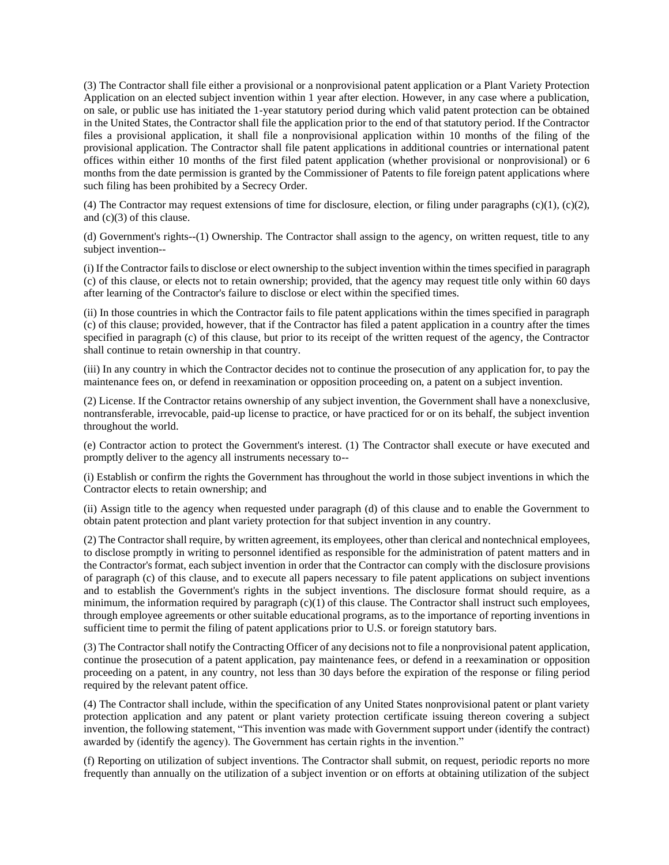(3) The Contractor shall file either a provisional or a nonprovisional patent application or a Plant Variety Protection Application on an elected subject invention within 1 year after election. However, in any case where a publication, on sale, or public use has initiated the 1-year statutory period during which valid patent protection can be obtained in the United States, the Contractor shall file the application prior to the end of that statutory period. If the Contractor files a provisional application, it shall file a nonprovisional application within 10 months of the filing of the provisional application. The Contractor shall file patent applications in additional countries or international patent offices within either 10 months of the first filed patent application (whether provisional or nonprovisional) or 6 months from the date permission is granted by the Commissioner of Patents to file foreign patent applications where such filing has been prohibited by a Secrecy Order.

(4) The Contractor may request extensions of time for disclosure, election, or filing under paragraphs  $(c)(1)$ ,  $(c)(2)$ , and (c)(3) of this clause.

(d) Government's rights--(1) Ownership. The Contractor shall assign to the agency, on written request, title to any subject invention--

(i) If the Contractor fails to disclose or elect ownership to the subject invention within the times specified in paragraph (c) of this clause, or elects not to retain ownership; provided, that the agency may request title only within 60 days after learning of the Contractor's failure to disclose or elect within the specified times.

(ii) In those countries in which the Contractor fails to file patent applications within the times specified in paragraph (c) of this clause; provided, however, that if the Contractor has filed a patent application in a country after the times specified in paragraph (c) of this clause, but prior to its receipt of the written request of the agency, the Contractor shall continue to retain ownership in that country.

(iii) In any country in which the Contractor decides not to continue the prosecution of any application for, to pay the maintenance fees on, or defend in reexamination or opposition proceeding on, a patent on a subject invention.

(2) License. If the Contractor retains ownership of any subject invention, the Government shall have a nonexclusive, nontransferable, irrevocable, paid-up license to practice, or have practiced for or on its behalf, the subject invention throughout the world.

(e) Contractor action to protect the Government's interest. (1) The Contractor shall execute or have executed and promptly deliver to the agency all instruments necessary to--

(i) Establish or confirm the rights the Government has throughout the world in those subject inventions in which the Contractor elects to retain ownership; and

(ii) Assign title to the agency when requested under paragraph (d) of this clause and to enable the Government to obtain patent protection and plant variety protection for that subject invention in any country.

(2) The Contractor shall require, by written agreement, its employees, other than clerical and nontechnical employees, to disclose promptly in writing to personnel identified as responsible for the administration of patent matters and in the Contractor's format, each subject invention in order that the Contractor can comply with the disclosure provisions of paragraph (c) of this clause, and to execute all papers necessary to file patent applications on subject inventions and to establish the Government's rights in the subject inventions. The disclosure format should require, as a minimum, the information required by paragraph (c)(1) of this clause. The Contractor shall instruct such employees, through employee agreements or other suitable educational programs, as to the importance of reporting inventions in sufficient time to permit the filing of patent applications prior to U.S. or foreign statutory bars.

(3) The Contractor shall notify the Contracting Officer of any decisions not to file a nonprovisional patent application, continue the prosecution of a patent application, pay maintenance fees, or defend in a reexamination or opposition proceeding on a patent, in any country, not less than 30 days before the expiration of the response or filing period required by the relevant patent office.

(4) The Contractor shall include, within the specification of any United States nonprovisional patent or plant variety protection application and any patent or plant variety protection certificate issuing thereon covering a subject invention, the following statement, "This invention was made with Government support under (identify the contract) awarded by (identify the agency). The Government has certain rights in the invention."

(f) Reporting on utilization of subject inventions. The Contractor shall submit, on request, periodic reports no more frequently than annually on the utilization of a subject invention or on efforts at obtaining utilization of the subject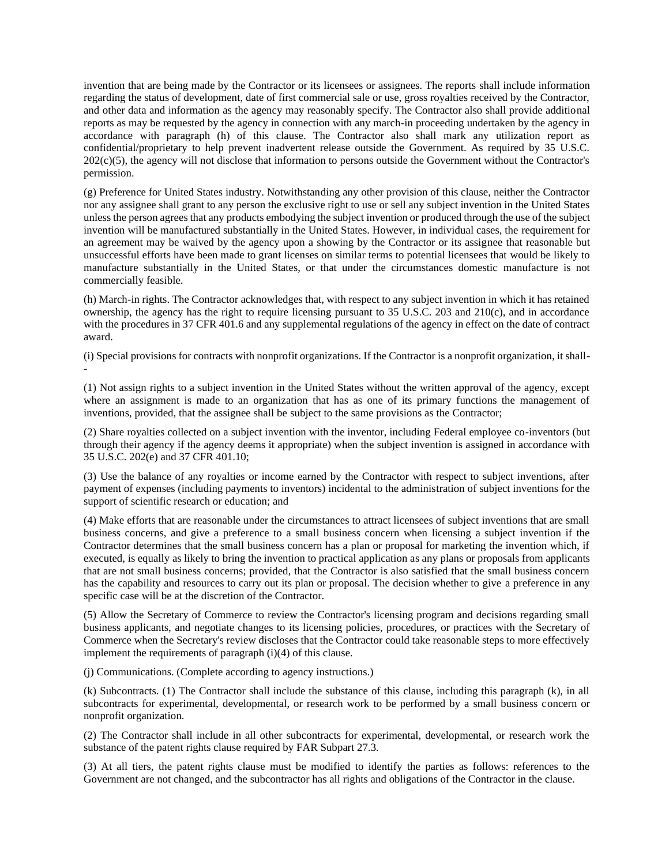invention that are being made by the Contractor or its licensees or assignees. The reports shall include information regarding the status of development, date of first commercial sale or use, gross royalties received by the Contractor, and other data and information as the agency may reasonably specify. The Contractor also shall provide additional reports as may be requested by the agency in connection with any march-in proceeding undertaken by the agency in accordance with paragraph (h) of this clause. The Contractor also shall mark any utilization report as confidential/proprietary to help prevent inadvertent release outside the Government. As required by 35 U.S.C. 202(c)(5), the agency will not disclose that information to persons outside the Government without the Contractor's permission.

(g) Preference for United States industry. Notwithstanding any other provision of this clause, neither the Contractor nor any assignee shall grant to any person the exclusive right to use or sell any subject invention in the United States unless the person agrees that any products embodying the subject invention or produced through the use of the subject invention will be manufactured substantially in the United States. However, in individual cases, the requirement for an agreement may be waived by the agency upon a showing by the Contractor or its assignee that reasonable but unsuccessful efforts have been made to grant licenses on similar terms to potential licensees that would be likely to manufacture substantially in the United States, or that under the circumstances domestic manufacture is not commercially feasible.

(h) March-in rights. The Contractor acknowledges that, with respect to any subject invention in which it has retained ownership, the agency has the right to require licensing pursuant to 35 U.S.C. 203 and 210(c), and in accordance with the procedures in 37 CFR 401.6 and any supplemental regulations of the agency in effect on the date of contract award.

(i) Special provisions for contracts with nonprofit organizations. If the Contractor is a nonprofit organization, it shall- -

(1) Not assign rights to a subject invention in the United States without the written approval of the agency, except where an assignment is made to an organization that has as one of its primary functions the management of inventions, provided, that the assignee shall be subject to the same provisions as the Contractor;

(2) Share royalties collected on a subject invention with the inventor, including Federal employee co-inventors (but through their agency if the agency deems it appropriate) when the subject invention is assigned in accordance with 35 U.S.C. 202(e) and 37 CFR 401.10;

(3) Use the balance of any royalties or income earned by the Contractor with respect to subject inventions, after payment of expenses (including payments to inventors) incidental to the administration of subject inventions for the support of scientific research or education; and

(4) Make efforts that are reasonable under the circumstances to attract licensees of subject inventions that are small business concerns, and give a preference to a small business concern when licensing a subject invention if the Contractor determines that the small business concern has a plan or proposal for marketing the invention which, if executed, is equally as likely to bring the invention to practical application as any plans or proposals from applicants that are not small business concerns; provided, that the Contractor is also satisfied that the small business concern has the capability and resources to carry out its plan or proposal. The decision whether to give a preference in any specific case will be at the discretion of the Contractor.

(5) Allow the Secretary of Commerce to review the Contractor's licensing program and decisions regarding small business applicants, and negotiate changes to its licensing policies, procedures, or practices with the Secretary of Commerce when the Secretary's review discloses that the Contractor could take reasonable steps to more effectively implement the requirements of paragraph (i)(4) of this clause.

(j) Communications. (Complete according to agency instructions.)

(k) Subcontracts. (1) The Contractor shall include the substance of this clause, including this paragraph (k), in all subcontracts for experimental, developmental, or research work to be performed by a small business concern or nonprofit organization.

(2) The Contractor shall include in all other subcontracts for experimental, developmental, or research work the substance of the patent rights clause required by FAR Subpart 27.3.

(3) At all tiers, the patent rights clause must be modified to identify the parties as follows: references to the Government are not changed, and the subcontractor has all rights and obligations of the Contractor in the clause.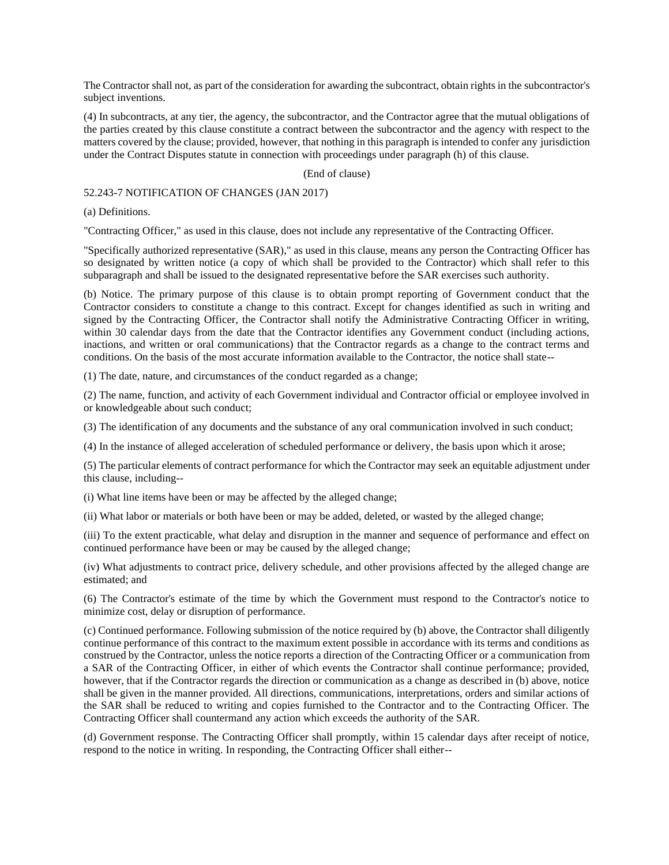The Contractor shall not, as part of the consideration for awarding the subcontract, obtain rights in the subcontractor's subject inventions.

(4) In subcontracts, at any tier, the agency, the subcontractor, and the Contractor agree that the mutual obligations of the parties created by this clause constitute a contract between the subcontractor and the agency with respect to the matters covered by the clause; provided, however, that nothing in this paragraph is intended to confer any jurisdiction under the Contract Disputes statute in connection with proceedings under paragraph (h) of this clause.

# (End of clause)

## 52.243-7 NOTIFICATION OF CHANGES (JAN 2017)

(a) Definitions.

"Contracting Officer," as used in this clause, does not include any representative of the Contracting Officer.

"Specifically authorized representative (SAR)," as used in this clause, means any person the Contracting Officer has so designated by written notice (a copy of which shall be provided to the Contractor) which shall refer to this subparagraph and shall be issued to the designated representative before the SAR exercises such authority.

(b) Notice. The primary purpose of this clause is to obtain prompt reporting of Government conduct that the Contractor considers to constitute a change to this contract. Except for changes identified as such in writing and signed by the Contracting Officer, the Contractor shall notify the Administrative Contracting Officer in writing, within 30 calendar days from the date that the Contractor identifies any Government conduct (including actions, inactions, and written or oral communications) that the Contractor regards as a change to the contract terms and conditions. On the basis of the most accurate information available to the Contractor, the notice shall state--

(1) The date, nature, and circumstances of the conduct regarded as a change;

(2) The name, function, and activity of each Government individual and Contractor official or employee involved in or knowledgeable about such conduct;

(3) The identification of any documents and the substance of any oral communication involved in such conduct;

(4) In the instance of alleged acceleration of scheduled performance or delivery, the basis upon which it arose;

(5) The particular elements of contract performance for which the Contractor may seek an equitable adjustment under this clause, including--

(i) What line items have been or may be affected by the alleged change;

(ii) What labor or materials or both have been or may be added, deleted, or wasted by the alleged change;

(iii) To the extent practicable, what delay and disruption in the manner and sequence of performance and effect on continued performance have been or may be caused by the alleged change;

(iv) What adjustments to contract price, delivery schedule, and other provisions affected by the alleged change are estimated; and

(6) The Contractor's estimate of the time by which the Government must respond to the Contractor's notice to minimize cost, delay or disruption of performance.

(c) Continued performance. Following submission of the notice required by (b) above, the Contractor shall diligently continue performance of this contract to the maximum extent possible in accordance with its terms and conditions as construed by the Contractor, unless the notice reports a direction of the Contracting Officer or a communication from a SAR of the Contracting Officer, in either of which events the Contractor shall continue performance; provided, however, that if the Contractor regards the direction or communication as a change as described in (b) above, notice shall be given in the manner provided. All directions, communications, interpretations, orders and similar actions of the SAR shall be reduced to writing and copies furnished to the Contractor and to the Contracting Officer. The Contracting Officer shall countermand any action which exceeds the authority of the SAR.

(d) Government response. The Contracting Officer shall promptly, within 15 calendar days after receipt of notice, respond to the notice in writing. In responding, the Contracting Officer shall either--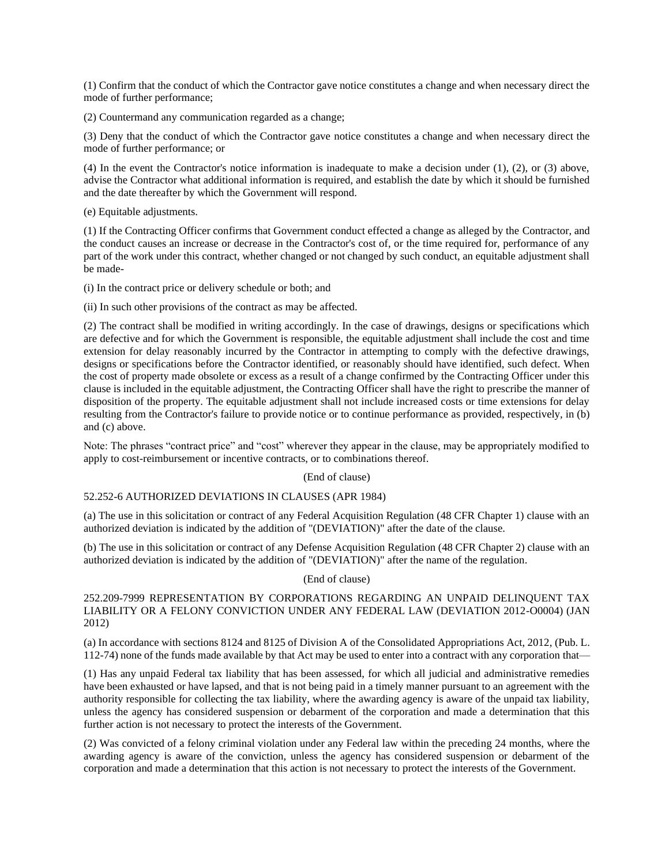(1) Confirm that the conduct of which the Contractor gave notice constitutes a change and when necessary direct the mode of further performance;

(2) Countermand any communication regarded as a change;

(3) Deny that the conduct of which the Contractor gave notice constitutes a change and when necessary direct the mode of further performance; or

(4) In the event the Contractor's notice information is inadequate to make a decision under (1), (2), or (3) above, advise the Contractor what additional information is required, and establish the date by which it should be furnished and the date thereafter by which the Government will respond.

(e) Equitable adjustments.

(1) If the Contracting Officer confirms that Government conduct effected a change as alleged by the Contractor, and the conduct causes an increase or decrease in the Contractor's cost of, or the time required for, performance of any part of the work under this contract, whether changed or not changed by such conduct, an equitable adjustment shall be made-

(i) In the contract price or delivery schedule or both; and

(ii) In such other provisions of the contract as may be affected.

(2) The contract shall be modified in writing accordingly. In the case of drawings, designs or specifications which are defective and for which the Government is responsible, the equitable adjustment shall include the cost and time extension for delay reasonably incurred by the Contractor in attempting to comply with the defective drawings, designs or specifications before the Contractor identified, or reasonably should have identified, such defect. When the cost of property made obsolete or excess as a result of a change confirmed by the Contracting Officer under this clause is included in the equitable adjustment, the Contracting Officer shall have the right to prescribe the manner of disposition of the property. The equitable adjustment shall not include increased costs or time extensions for delay resulting from the Contractor's failure to provide notice or to continue performance as provided, respectively, in (b) and (c) above.

Note: The phrases "contract price" and "cost" wherever they appear in the clause, may be appropriately modified to apply to cost-reimbursement or incentive contracts, or to combinations thereof.

(End of clause)

### 52.252-6 AUTHORIZED DEVIATIONS IN CLAUSES (APR 1984)

(a) The use in this solicitation or contract of any Federal Acquisition Regulation (48 CFR Chapter 1) clause with an authorized deviation is indicated by the addition of "(DEVIATION)" after the date of the clause.

(b) The use in this solicitation or contract of any Defense Acquisition Regulation (48 CFR Chapter 2) clause with an authorized deviation is indicated by the addition of "(DEVIATION)" after the name of the regulation.

### (End of clause)

252.209-7999 REPRESENTATION BY CORPORATIONS REGARDING AN UNPAID DELINQUENT TAX LIABILITY OR A FELONY CONVICTION UNDER ANY FEDERAL LAW (DEVIATION 2012-O0004) (JAN 2012)

(a) In accordance with sections 8124 and 8125 of Division A of the Consolidated Appropriations Act, 2012, (Pub. L. 112-74) none of the funds made available by that Act may be used to enter into a contract with any corporation that—

(1) Has any unpaid Federal tax liability that has been assessed, for which all judicial and administrative remedies have been exhausted or have lapsed, and that is not being paid in a timely manner pursuant to an agreement with the authority responsible for collecting the tax liability, where the awarding agency is aware of the unpaid tax liability, unless the agency has considered suspension or debarment of the corporation and made a determination that this further action is not necessary to protect the interests of the Government.

(2) Was convicted of a felony criminal violation under any Federal law within the preceding 24 months, where the awarding agency is aware of the conviction, unless the agency has considered suspension or debarment of the corporation and made a determination that this action is not necessary to protect the interests of the Government.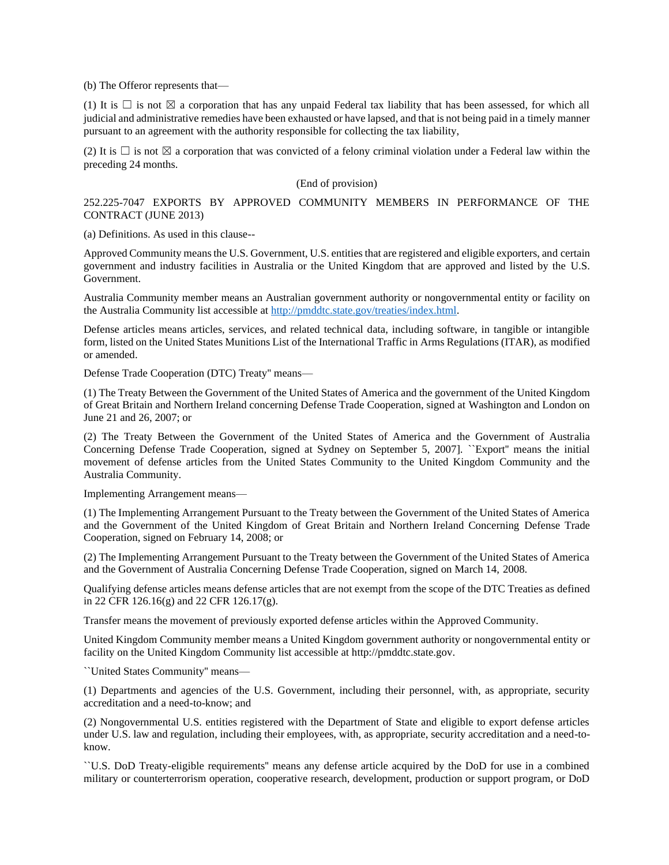(b) The Offeror represents that—

(1) It is  $\square$  is not  $\boxtimes$  a corporation that has any unpaid Federal tax liability that has been assessed, for which all judicial and administrative remedies have been exhausted or have lapsed, and that is not being paid in a timely manner pursuant to an agreement with the authority responsible for collecting the tax liability,

(2) It is  $\Box$  is not  $\boxtimes$  a corporation that was convicted of a felony criminal violation under a Federal law within the preceding 24 months.

#### (End of provision)

252.225-7047 EXPORTS BY APPROVED COMMUNITY MEMBERS IN PERFORMANCE OF THE CONTRACT (JUNE 2013)

(a) Definitions. As used in this clause--

Approved Community means the U.S. Government, U.S. entities that are registered and eligible exporters, and certain government and industry facilities in Australia or the United Kingdom that are approved and listed by the U.S. Government.

Australia Community member means an Australian government authority or nongovernmental entity or facility on the Australia Community list accessible at [http://pmddtc.state.gov/treaties/index.html.](http://pmddtc.state.gov/treaties/index.html)

Defense articles means articles, services, and related technical data, including software, in tangible or intangible form, listed on the United States Munitions List of the International Traffic in Arms Regulations (ITAR), as modified or amended.

Defense Trade Cooperation (DTC) Treaty'' means—

(1) The Treaty Between the Government of the United States of America and the government of the United Kingdom of Great Britain and Northern Ireland concerning Defense Trade Cooperation, signed at Washington and London on June 21 and 26, 2007; or

(2) The Treaty Between the Government of the United States of America and the Government of Australia Concerning Defense Trade Cooperation, signed at Sydney on September 5, 2007]. ``Export'' means the initial movement of defense articles from the United States Community to the United Kingdom Community and the Australia Community.

Implementing Arrangement means—

(1) The Implementing Arrangement Pursuant to the Treaty between the Government of the United States of America and the Government of the United Kingdom of Great Britain and Northern Ireland Concerning Defense Trade Cooperation, signed on February 14, 2008; or

(2) The Implementing Arrangement Pursuant to the Treaty between the Government of the United States of America and the Government of Australia Concerning Defense Trade Cooperation, signed on March 14, 2008.

Qualifying defense articles means defense articles that are not exempt from the scope of the DTC Treaties as defined in 22 CFR 126.16(g) and 22 CFR 126.17(g).

Transfer means the movement of previously exported defense articles within the Approved Community.

United Kingdom Community member means a United Kingdom government authority or nongovernmental entity or facility on the United Kingdom Community list accessible at http://pmddtc.state.gov.

``United States Community'' means—

(1) Departments and agencies of the U.S. Government, including their personnel, with, as appropriate, security accreditation and a need-to-know; and

(2) Nongovernmental U.S. entities registered with the Department of State and eligible to export defense articles under U.S. law and regulation, including their employees, with, as appropriate, security accreditation and a need-toknow.

``U.S. DoD Treaty-eligible requirements'' means any defense article acquired by the DoD for use in a combined military or counterterrorism operation, cooperative research, development, production or support program, or DoD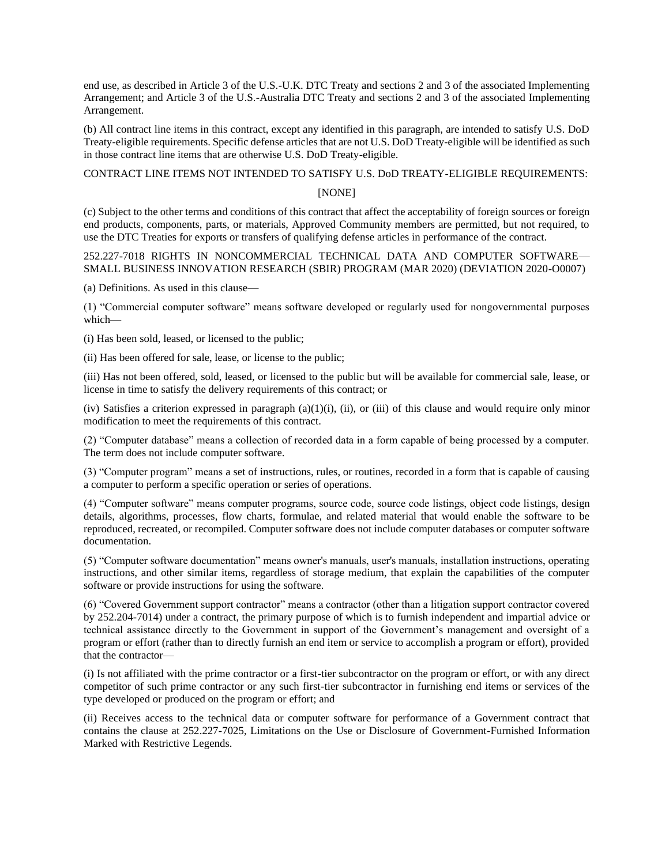end use, as described in Article 3 of the U.S.-U.K. DTC Treaty and sections 2 and 3 of the associated Implementing Arrangement; and Article 3 of the U.S.-Australia DTC Treaty and sections 2 and 3 of the associated Implementing Arrangement.

(b) All contract line items in this contract, except any identified in this paragraph, are intended to satisfy U.S. DoD Treaty-eligible requirements. Specific defense articles that are not U.S. DoD Treaty-eligible will be identified as such in those contract line items that are otherwise U.S. DoD Treaty-eligible.

## CONTRACT LINE ITEMS NOT INTENDED TO SATISFY U.S. DoD TREATY-ELIGIBLE REQUIREMENTS:

### [NONE]

(c) Subject to the other terms and conditions of this contract that affect the acceptability of foreign sources or foreign end products, components, parts, or materials, Approved Community members are permitted, but not required, to use the DTC Treaties for exports or transfers of qualifying defense articles in performance of the contract.

## 252.227-7018 RIGHTS IN NONCOMMERCIAL TECHNICAL DATA AND COMPUTER SOFTWARE— SMALL BUSINESS INNOVATION RESEARCH (SBIR) PROGRAM (MAR 2020) (DEVIATION 2020-O0007)

(a) Definitions. As used in this clause—

(1) "Commercial computer software" means software developed or regularly used for nongovernmental purposes which—

(i) Has been sold, leased, or licensed to the public;

(ii) Has been offered for sale, lease, or license to the public;

(iii) Has not been offered, sold, leased, or licensed to the public but will be available for commercial sale, lease, or license in time to satisfy the delivery requirements of this contract; or

(iv) Satisfies a criterion expressed in paragraph  $(a)(1)(i)$ ,  $(ii)$ , or  $(iii)$  of this clause and would require only minor modification to meet the requirements of this contract.

(2) "Computer database" means a collection of recorded data in a form capable of being processed by a computer. The term does not include computer software.

(3) "Computer program" means a set of instructions, rules, or routines, recorded in a form that is capable of causing a computer to perform a specific operation or series of operations.

(4) "Computer software" means computer programs, source code, source code listings, object code listings, design details, algorithms, processes, flow charts, formulae, and related material that would enable the software to be reproduced, recreated, or recompiled. Computer software does not include computer databases or computer software documentation.

(5) "Computer software documentation" means owner's manuals, user's manuals, installation instructions, operating instructions, and other similar items, regardless of storage medium, that explain the capabilities of the computer software or provide instructions for using the software.

(6) "Covered Government support contractor" means a contractor (other than a litigation support contractor covered by 252.204-7014) under a contract, the primary purpose of which is to furnish independent and impartial advice or technical assistance directly to the Government in support of the Government's management and oversight of a program or effort (rather than to directly furnish an end item or service to accomplish a program or effort), provided that the contractor—

(i) Is not affiliated with the prime contractor or a first-tier subcontractor on the program or effort, or with any direct competitor of such prime contractor or any such first-tier subcontractor in furnishing end items or services of the type developed or produced on the program or effort; and

(ii) Receives access to the technical data or computer software for performance of a Government contract that contains the clause at 252.227-7025, Limitations on the Use or Disclosure of Government-Furnished Information Marked with Restrictive Legends.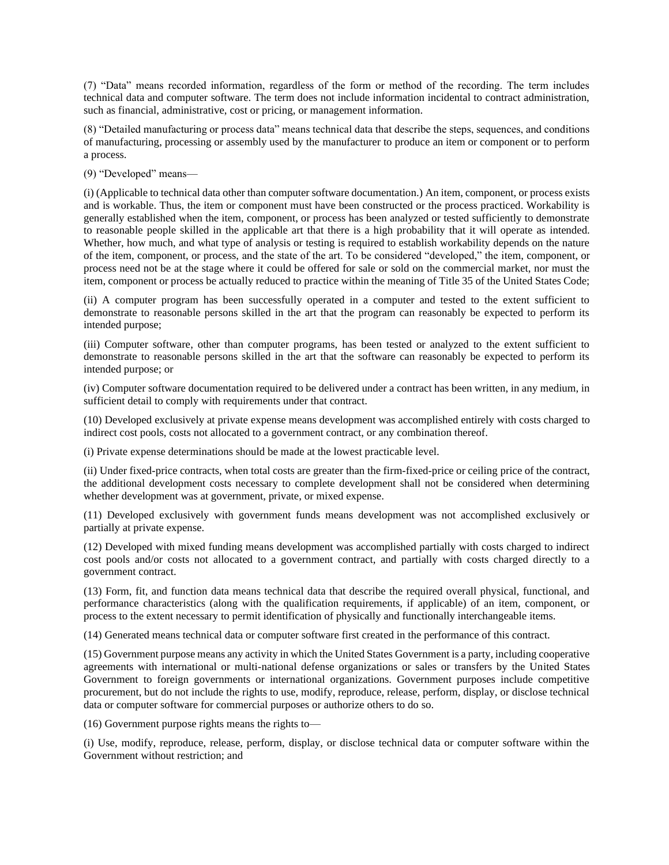(7) "Data" means recorded information, regardless of the form or method of the recording. The term includes technical data and computer software. The term does not include information incidental to contract administration, such as financial, administrative, cost or pricing, or management information.

(8) "Detailed manufacturing or process data" means technical data that describe the steps, sequences, and conditions of manufacturing, processing or assembly used by the manufacturer to produce an item or component or to perform a process.

(9) "Developed" means—

(i) (Applicable to technical data other than computer software documentation.) An item, component, or process exists and is workable. Thus, the item or component must have been constructed or the process practiced. Workability is generally established when the item, component, or process has been analyzed or tested sufficiently to demonstrate to reasonable people skilled in the applicable art that there is a high probability that it will operate as intended. Whether, how much, and what type of analysis or testing is required to establish workability depends on the nature of the item, component, or process, and the state of the art. To be considered "developed," the item, component, or process need not be at the stage where it could be offered for sale or sold on the commercial market, nor must the item, component or process be actually reduced to practice within the meaning of Title 35 of the United States Code;

(ii) A computer program has been successfully operated in a computer and tested to the extent sufficient to demonstrate to reasonable persons skilled in the art that the program can reasonably be expected to perform its intended purpose;

(iii) Computer software, other than computer programs, has been tested or analyzed to the extent sufficient to demonstrate to reasonable persons skilled in the art that the software can reasonably be expected to perform its intended purpose; or

(iv) Computer software documentation required to be delivered under a contract has been written, in any medium, in sufficient detail to comply with requirements under that contract.

(10) Developed exclusively at private expense means development was accomplished entirely with costs charged to indirect cost pools, costs not allocated to a government contract, or any combination thereof.

(i) Private expense determinations should be made at the lowest practicable level.

(ii) Under fixed-price contracts, when total costs are greater than the firm-fixed-price or ceiling price of the contract, the additional development costs necessary to complete development shall not be considered when determining whether development was at government, private, or mixed expense.

(11) Developed exclusively with government funds means development was not accomplished exclusively or partially at private expense.

(12) Developed with mixed funding means development was accomplished partially with costs charged to indirect cost pools and/or costs not allocated to a government contract, and partially with costs charged directly to a government contract.

(13) Form, fit, and function data means technical data that describe the required overall physical, functional, and performance characteristics (along with the qualification requirements, if applicable) of an item, component, or process to the extent necessary to permit identification of physically and functionally interchangeable items.

(14) Generated means technical data or computer software first created in the performance of this contract.

(15) Government purpose means any activity in which the United States Government is a party, including cooperative agreements with international or multi-national defense organizations or sales or transfers by the United States Government to foreign governments or international organizations. Government purposes include competitive procurement, but do not include the rights to use, modify, reproduce, release, perform, display, or disclose technical data or computer software for commercial purposes or authorize others to do so.

(16) Government purpose rights means the rights to—

(i) Use, modify, reproduce, release, perform, display, or disclose technical data or computer software within the Government without restriction; and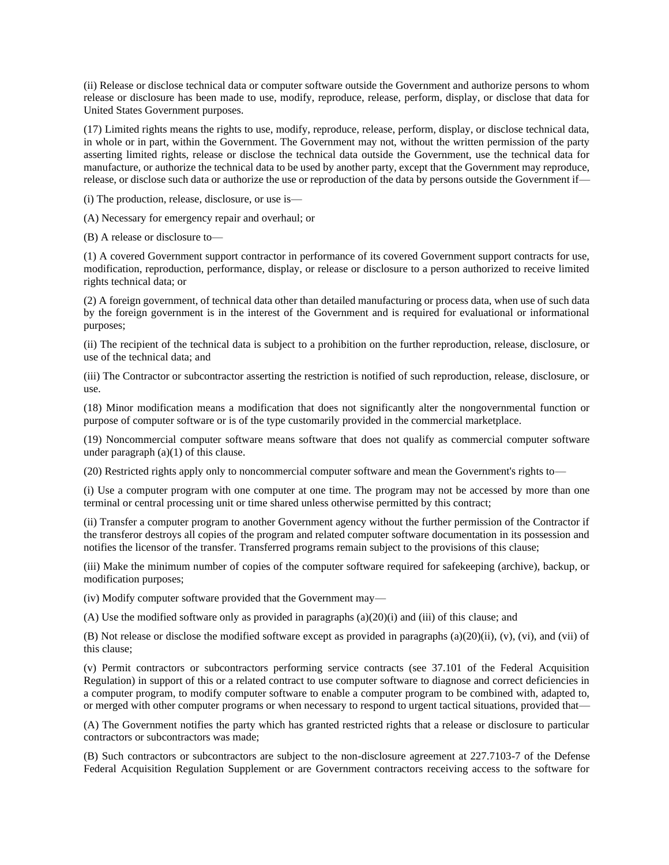(ii) Release or disclose technical data or computer software outside the Government and authorize persons to whom release or disclosure has been made to use, modify, reproduce, release, perform, display, or disclose that data for United States Government purposes.

(17) Limited rights means the rights to use, modify, reproduce, release, perform, display, or disclose technical data, in whole or in part, within the Government. The Government may not, without the written permission of the party asserting limited rights, release or disclose the technical data outside the Government, use the technical data for manufacture, or authorize the technical data to be used by another party, except that the Government may reproduce, release, or disclose such data or authorize the use or reproduction of the data by persons outside the Government if—

(i) The production, release, disclosure, or use is—

(A) Necessary for emergency repair and overhaul; or

(B) A release or disclosure to—

(1) A covered Government support contractor in performance of its covered Government support contracts for use, modification, reproduction, performance, display, or release or disclosure to a person authorized to receive limited rights technical data; or

(2) A foreign government, of technical data other than detailed manufacturing or process data, when use of such data by the foreign government is in the interest of the Government and is required for evaluational or informational purposes;

(ii) The recipient of the technical data is subject to a prohibition on the further reproduction, release, disclosure, or use of the technical data; and

(iii) The Contractor or subcontractor asserting the restriction is notified of such reproduction, release, disclosure, or use.

(18) Minor modification means a modification that does not significantly alter the nongovernmental function or purpose of computer software or is of the type customarily provided in the commercial marketplace.

(19) Noncommercial computer software means software that does not qualify as commercial computer software under paragraph  $(a)(1)$  of this clause.

(20) Restricted rights apply only to noncommercial computer software and mean the Government's rights to—

(i) Use a computer program with one computer at one time. The program may not be accessed by more than one terminal or central processing unit or time shared unless otherwise permitted by this contract;

(ii) Transfer a computer program to another Government agency without the further permission of the Contractor if the transferor destroys all copies of the program and related computer software documentation in its possession and notifies the licensor of the transfer. Transferred programs remain subject to the provisions of this clause;

(iii) Make the minimum number of copies of the computer software required for safekeeping (archive), backup, or modification purposes;

(iv) Modify computer software provided that the Government may—

(A) Use the modified software only as provided in paragraphs (a)(20)(i) and (iii) of this clause; and

(B) Not release or disclose the modified software except as provided in paragraphs (a)(20)(ii), (v), (vi), and (vii) of this clause;

(v) Permit contractors or subcontractors performing service contracts (see 37.101 of the Federal Acquisition Regulation) in support of this or a related contract to use computer software to diagnose and correct deficiencies in a computer program, to modify computer software to enable a computer program to be combined with, adapted to, or merged with other computer programs or when necessary to respond to urgent tactical situations, provided that—

(A) The Government notifies the party which has granted restricted rights that a release or disclosure to particular contractors or subcontractors was made;

(B) Such contractors or subcontractors are subject to the non-disclosure agreement at 227.7103-7 of the Defense Federal Acquisition Regulation Supplement or are Government contractors receiving access to the software for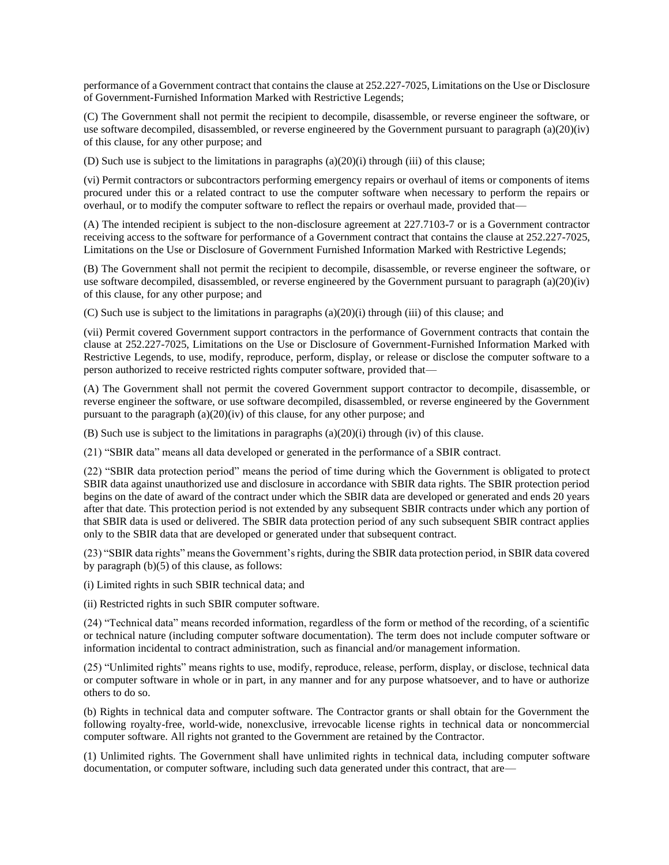performance of a Government contract that contains the clause at 252.227-7025, Limitations on the Use or Disclosure of Government-Furnished Information Marked with Restrictive Legends;

(C) The Government shall not permit the recipient to decompile, disassemble, or reverse engineer the software, or use software decompiled, disassembled, or reverse engineered by the Government pursuant to paragraph (a)(20)(iv) of this clause, for any other purpose; and

(D) Such use is subject to the limitations in paragraphs (a)(20)(i) through (iii) of this clause;

(vi) Permit contractors or subcontractors performing emergency repairs or overhaul of items or components of items procured under this or a related contract to use the computer software when necessary to perform the repairs or overhaul, or to modify the computer software to reflect the repairs or overhaul made, provided that—

(A) The intended recipient is subject to the non-disclosure agreement at 227.7103-7 or is a Government contractor receiving access to the software for performance of a Government contract that contains the clause at 252.227-7025, Limitations on the Use or Disclosure of Government Furnished Information Marked with Restrictive Legends;

(B) The Government shall not permit the recipient to decompile, disassemble, or reverse engineer the software, or use software decompiled, disassembled, or reverse engineered by the Government pursuant to paragraph (a)(20)(iv) of this clause, for any other purpose; and

(C) Such use is subject to the limitations in paragraphs (a)(20)(i) through (iii) of this clause; and

(vii) Permit covered Government support contractors in the performance of Government contracts that contain the clause at 252.227-7025, Limitations on the Use or Disclosure of Government-Furnished Information Marked with Restrictive Legends, to use, modify, reproduce, perform, display, or release or disclose the computer software to a person authorized to receive restricted rights computer software, provided that—

(A) The Government shall not permit the covered Government support contractor to decompile, disassemble, or reverse engineer the software, or use software decompiled, disassembled, or reverse engineered by the Government pursuant to the paragraph (a)(20)(iv) of this clause, for any other purpose; and

(B) Such use is subject to the limitations in paragraphs (a)(20)(i) through (iv) of this clause.

(21) "SBIR data" means all data developed or generated in the performance of a SBIR contract.

(22) "SBIR data protection period" means the period of time during which the Government is obligated to protect SBIR data against unauthorized use and disclosure in accordance with SBIR data rights. The SBIR protection period begins on the date of award of the contract under which the SBIR data are developed or generated and ends 20 years after that date. This protection period is not extended by any subsequent SBIR contracts under which any portion of that SBIR data is used or delivered. The SBIR data protection period of any such subsequent SBIR contract applies only to the SBIR data that are developed or generated under that subsequent contract.

(23) "SBIR data rights" means the Government's rights, during the SBIR data protection period, in SBIR data covered by paragraph  $(b)(5)$  of this clause, as follows:

(i) Limited rights in such SBIR technical data; and

(ii) Restricted rights in such SBIR computer software.

(24) "Technical data" means recorded information, regardless of the form or method of the recording, of a scientific or technical nature (including computer software documentation). The term does not include computer software or information incidental to contract administration, such as financial and/or management information.

(25) "Unlimited rights" means rights to use, modify, reproduce, release, perform, display, or disclose, technical data or computer software in whole or in part, in any manner and for any purpose whatsoever, and to have or authorize others to do so.

(b) Rights in technical data and computer software. The Contractor grants or shall obtain for the Government the following royalty-free, world-wide, nonexclusive, irrevocable license rights in technical data or noncommercial computer software. All rights not granted to the Government are retained by the Contractor.

(1) Unlimited rights. The Government shall have unlimited rights in technical data, including computer software documentation, or computer software, including such data generated under this contract, that are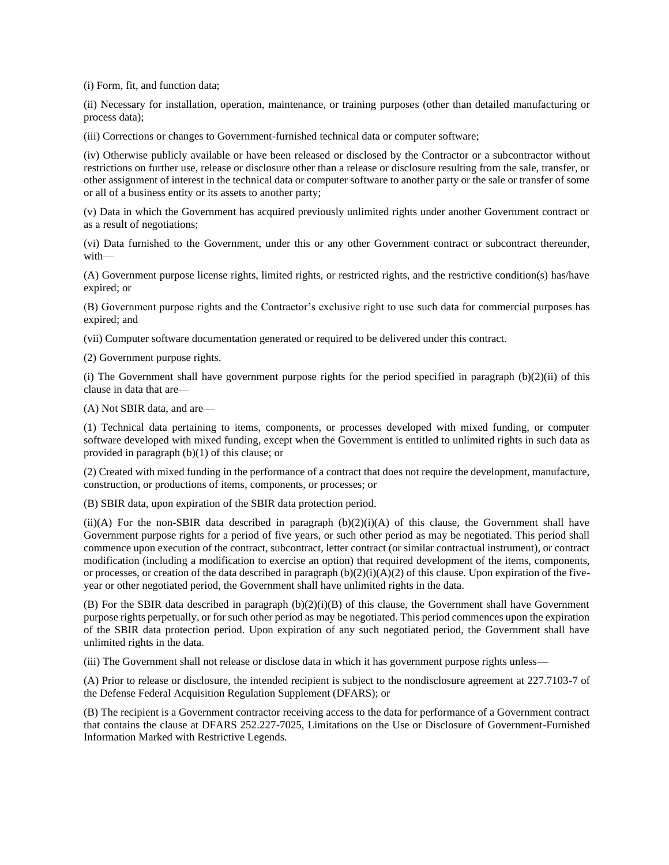(i) Form, fit, and function data;

(ii) Necessary for installation, operation, maintenance, or training purposes (other than detailed manufacturing or process data);

(iii) Corrections or changes to Government-furnished technical data or computer software;

(iv) Otherwise publicly available or have been released or disclosed by the Contractor or a subcontractor without restrictions on further use, release or disclosure other than a release or disclosure resulting from the sale, transfer, or other assignment of interest in the technical data or computer software to another party or the sale or transfer of some or all of a business entity or its assets to another party;

(v) Data in which the Government has acquired previously unlimited rights under another Government contract or as a result of negotiations;

(vi) Data furnished to the Government, under this or any other Government contract or subcontract thereunder, with—

(A) Government purpose license rights, limited rights, or restricted rights, and the restrictive condition(s) has/have expired; or

(B) Government purpose rights and the Contractor's exclusive right to use such data for commercial purposes has expired; and

(vii) Computer software documentation generated or required to be delivered under this contract.

(2) Government purpose rights.

(i) The Government shall have government purpose rights for the period specified in paragraph (b)(2)(ii) of this clause in data that are—

(A) Not SBIR data, and are—

(1) Technical data pertaining to items, components, or processes developed with mixed funding, or computer software developed with mixed funding, except when the Government is entitled to unlimited rights in such data as provided in paragraph (b)(1) of this clause; or

(2) Created with mixed funding in the performance of a contract that does not require the development, manufacture, construction, or productions of items, components, or processes; or

(B) SBIR data, upon expiration of the SBIR data protection period.

(ii)(A) For the non-SBIR data described in paragraph  $(b)(2)(i)(A)$  of this clause, the Government shall have Government purpose rights for a period of five years, or such other period as may be negotiated. This period shall commence upon execution of the contract, subcontract, letter contract (or similar contractual instrument), or contract modification (including a modification to exercise an option) that required development of the items, components, or processes, or creation of the data described in paragraph  $(b)(2)(i)(A)(2)$  of this clause. Upon expiration of the fiveyear or other negotiated period, the Government shall have unlimited rights in the data.

(B) For the SBIR data described in paragraph  $(b)(2)(i)(B)$  of this clause, the Government shall have Government purpose rights perpetually, or for such other period as may be negotiated. This period commences upon the expiration of the SBIR data protection period. Upon expiration of any such negotiated period, the Government shall have unlimited rights in the data.

(iii) The Government shall not release or disclose data in which it has government purpose rights unless—

(A) Prior to release or disclosure, the intended recipient is subject to the nondisclosure agreement at 227.7103-7 of the Defense Federal Acquisition Regulation Supplement (DFARS); or

(B) The recipient is a Government contractor receiving access to the data for performance of a Government contract that contains the clause at DFARS 252.227-7025, Limitations on the Use or Disclosure of Government-Furnished Information Marked with Restrictive Legends.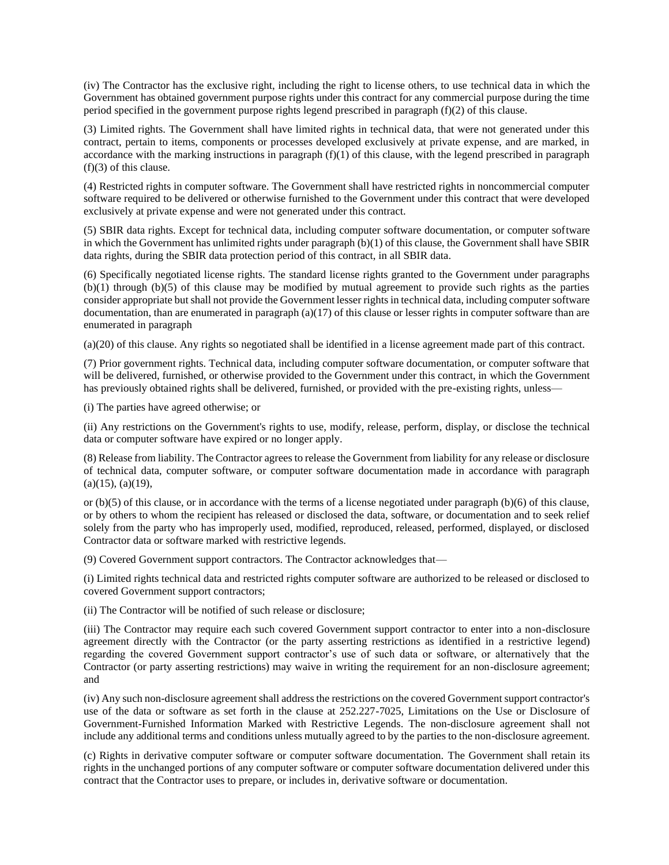(iv) The Contractor has the exclusive right, including the right to license others, to use technical data in which the Government has obtained government purpose rights under this contract for any commercial purpose during the time period specified in the government purpose rights legend prescribed in paragraph (f)(2) of this clause.

(3) Limited rights. The Government shall have limited rights in technical data, that were not generated under this contract, pertain to items, components or processes developed exclusively at private expense, and are marked, in accordance with the marking instructions in paragraph  $(f)(1)$  of this clause, with the legend prescribed in paragraph (f)(3) of this clause.

(4) Restricted rights in computer software. The Government shall have restricted rights in noncommercial computer software required to be delivered or otherwise furnished to the Government under this contract that were developed exclusively at private expense and were not generated under this contract.

(5) SBIR data rights. Except for technical data, including computer software documentation, or computer software in which the Government has unlimited rights under paragraph (b)(1) of this clause, the Government shall have SBIR data rights, during the SBIR data protection period of this contract, in all SBIR data.

(6) Specifically negotiated license rights. The standard license rights granted to the Government under paragraphs (b)(1) through (b)(5) of this clause may be modified by mutual agreement to provide such rights as the parties consider appropriate but shall not provide the Government lesser rights in technical data, including computer software documentation, than are enumerated in paragraph (a)(17) of this clause or lesser rights in computer software than are enumerated in paragraph

(a)(20) of this clause. Any rights so negotiated shall be identified in a license agreement made part of this contract.

(7) Prior government rights. Technical data, including computer software documentation, or computer software that will be delivered, furnished, or otherwise provided to the Government under this contract, in which the Government has previously obtained rights shall be delivered, furnished, or provided with the pre-existing rights, unless—

(i) The parties have agreed otherwise; or

(ii) Any restrictions on the Government's rights to use, modify, release, perform, display, or disclose the technical data or computer software have expired or no longer apply.

(8) Release from liability. The Contractor agrees to release the Government from liability for any release or disclosure of technical data, computer software, or computer software documentation made in accordance with paragraph  $(a)(15)$ ,  $(a)(19)$ ,

or (b)(5) of this clause, or in accordance with the terms of a license negotiated under paragraph (b)(6) of this clause, or by others to whom the recipient has released or disclosed the data, software, or documentation and to seek relief solely from the party who has improperly used, modified, reproduced, released, performed, displayed, or disclosed Contractor data or software marked with restrictive legends.

(9) Covered Government support contractors. The Contractor acknowledges that—

(i) Limited rights technical data and restricted rights computer software are authorized to be released or disclosed to covered Government support contractors;

(ii) The Contractor will be notified of such release or disclosure;

(iii) The Contractor may require each such covered Government support contractor to enter into a non-disclosure agreement directly with the Contractor (or the party asserting restrictions as identified in a restrictive legend) regarding the covered Government support contractor's use of such data or software, or alternatively that the Contractor (or party asserting restrictions) may waive in writing the requirement for an non-disclosure agreement; and

(iv) Any such non-disclosure agreement shall address the restrictions on the covered Government support contractor's use of the data or software as set forth in the clause at 252.227-7025, Limitations on the Use or Disclosure of Government-Furnished Information Marked with Restrictive Legends. The non-disclosure agreement shall not include any additional terms and conditions unless mutually agreed to by the parties to the non-disclosure agreement.

(c) Rights in derivative computer software or computer software documentation. The Government shall retain its rights in the unchanged portions of any computer software or computer software documentation delivered under this contract that the Contractor uses to prepare, or includes in, derivative software or documentation.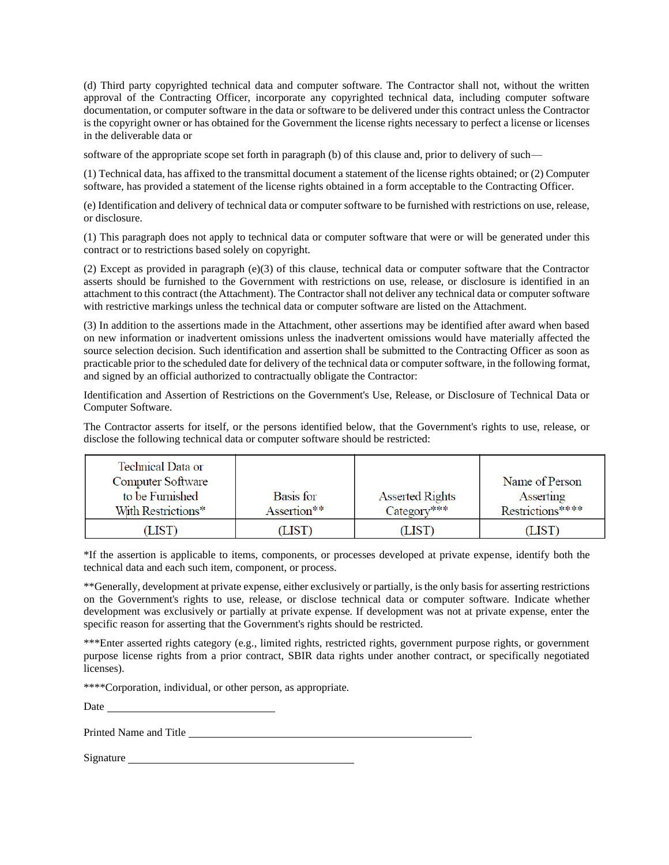(d) Third party copyrighted technical data and computer software. The Contractor shall not, without the written approval of the Contracting Officer, incorporate any copyrighted technical data, including computer software documentation, or computer software in the data or software to be delivered under this contract unless the Contractor is the copyright owner or has obtained for the Government the license rights necessary to perfect a license or licenses in the deliverable data or

software of the appropriate scope set forth in paragraph (b) of this clause and, prior to delivery of such—

(1) Technical data, has affixed to the transmittal document a statement of the license rights obtained; or (2) Computer software, has provided a statement of the license rights obtained in a form acceptable to the Contracting Officer.

(e) Identification and delivery of technical data or computer software to be furnished with restrictions on use, release, or disclosure.

(1) This paragraph does not apply to technical data or computer software that were or will be generated under this contract or to restrictions based solely on copyright.

(2) Except as provided in paragraph (e)(3) of this clause, technical data or computer software that the Contractor asserts should be furnished to the Government with restrictions on use, release, or disclosure is identified in an attachment to this contract (the Attachment). The Contractor shall not deliver any technical data or computer software with restrictive markings unless the technical data or computer software are listed on the Attachment.

(3) In addition to the assertions made in the Attachment, other assertions may be identified after award when based on new information or inadvertent omissions unless the inadvertent omissions would have materially affected the source selection decision. Such identification and assertion shall be submitted to the Contracting Officer as soon as practicable prior to the scheduled date for delivery of the technical data or computer software, in the following format, and signed by an official authorized to contractually obligate the Contractor:

Identification and Assertion of Restrictions on the Government's Use, Release, or Disclosure of Technical Data or Computer Software.

The Contractor asserts for itself, or the persons identified below, that the Government's rights to use, release, or disclose the following technical data or computer software should be restricted:

| <b>Technical Data or</b><br><b>Computer Software</b> |             |                        | Name of Person   |
|------------------------------------------------------|-------------|------------------------|------------------|
| to be Furnished                                      | Basis for   | <b>Asserted Rights</b> | Asserting        |
| With Restrictions*                                   | Assertion** | $\text{Categorical}$   | Restrictions**** |
| LIS'I                                                | LIST        |                        |                  |

\*If the assertion is applicable to items, components, or processes developed at private expense, identify both the technical data and each such item, component, or process.

\*\*Generally, development at private expense, either exclusively or partially, is the only basis for asserting restrictions on the Government's rights to use, release, or disclose technical data or computer software. Indicate whether development was exclusively or partially at private expense. If development was not at private expense, enter the specific reason for asserting that the Government's rights should be restricted.

\*\*\*Enter asserted rights category (e.g., limited rights, restricted rights, government purpose rights, or government purpose license rights from a prior contract, SBIR data rights under another contract, or specifically negotiated licenses).

\*\*\*\*Corporation, individual, or other person, as appropriate.

Date

Printed Name and Title

Signature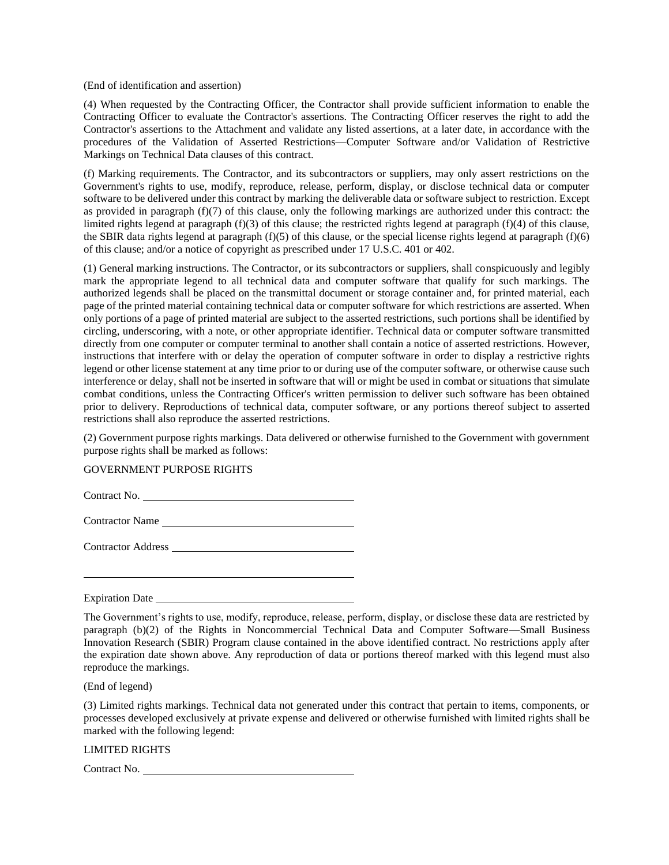(End of identification and assertion)

(4) When requested by the Contracting Officer, the Contractor shall provide sufficient information to enable the Contracting Officer to evaluate the Contractor's assertions. The Contracting Officer reserves the right to add the Contractor's assertions to the Attachment and validate any listed assertions, at a later date, in accordance with the procedures of the Validation of Asserted Restrictions—Computer Software and/or Validation of Restrictive Markings on Technical Data clauses of this contract.

(f) Marking requirements. The Contractor, and its subcontractors or suppliers, may only assert restrictions on the Government's rights to use, modify, reproduce, release, perform, display, or disclose technical data or computer software to be delivered under this contract by marking the deliverable data or software subject to restriction. Except as provided in paragraph (f)(7) of this clause, only the following markings are authorized under this contract: the limited rights legend at paragraph  $(f)(3)$  of this clause; the restricted rights legend at paragraph  $(f)(4)$  of this clause, the SBIR data rights legend at paragraph  $(f)(5)$  of this clause, or the special license rights legend at paragraph  $(f)(6)$ of this clause; and/or a notice of copyright as prescribed under 17 U.S.C. 401 or 402.

(1) General marking instructions. The Contractor, or its subcontractors or suppliers, shall conspicuously and legibly mark the appropriate legend to all technical data and computer software that qualify for such markings. The authorized legends shall be placed on the transmittal document or storage container and, for printed material, each page of the printed material containing technical data or computer software for which restrictions are asserted. When only portions of a page of printed material are subject to the asserted restrictions, such portions shall be identified by circling, underscoring, with a note, or other appropriate identifier. Technical data or computer software transmitted directly from one computer or computer terminal to another shall contain a notice of asserted restrictions. However, instructions that interfere with or delay the operation of computer software in order to display a restrictive rights legend or other license statement at any time prior to or during use of the computer software, or otherwise cause such interference or delay, shall not be inserted in software that will or might be used in combat or situations that simulate combat conditions, unless the Contracting Officer's written permission to deliver such software has been obtained prior to delivery. Reproductions of technical data, computer software, or any portions thereof subject to asserted restrictions shall also reproduce the asserted restrictions.

(2) Government purpose rights markings. Data delivered or otherwise furnished to the Government with government purpose rights shall be marked as follows:

GOVERNMENT PURPOSE RIGHTS

Contract No.

Contractor Name

Contractor Address

Expiration Date

(End of legend)

(3) Limited rights markings. Technical data not generated under this contract that pertain to items, components, or processes developed exclusively at private expense and delivered or otherwise furnished with limited rights shall be marked with the following legend:

LIMITED RIGHTS

Contract No.

The Government's rights to use, modify, reproduce, release, perform, display, or disclose these data are restricted by paragraph (b)(2) of the Rights in Noncommercial Technical Data and Computer Software—Small Business Innovation Research (SBIR) Program clause contained in the above identified contract. No restrictions apply after the expiration date shown above. Any reproduction of data or portions thereof marked with this legend must also reproduce the markings.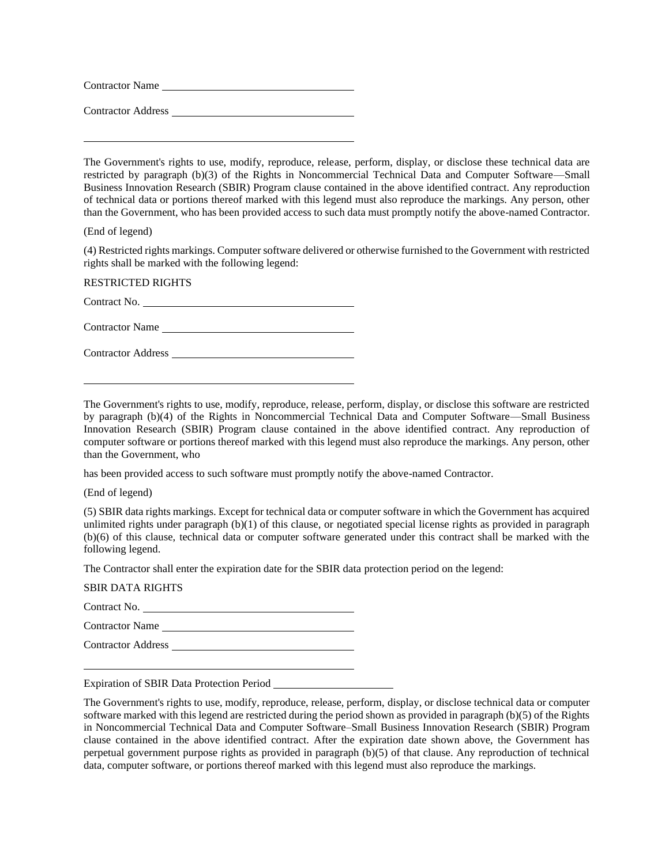Contractor Name

Contractor Address

The Government's rights to use, modify, reproduce, release, perform, display, or disclose these technical data are restricted by paragraph (b)(3) of the Rights in Noncommercial Technical Data and Computer Software—Small Business Innovation Research (SBIR) Program clause contained in the above identified contract. Any reproduction of technical data or portions thereof marked with this legend must also reproduce the markings. Any person, other than the Government, who has been provided access to such data must promptly notify the above-named Contractor.

(End of legend)

(4) Restricted rights markings. Computer software delivered or otherwise furnished to the Government with restricted rights shall be marked with the following legend:

RESTRICTED RIGHTS

Contract No.

Contractor Name

Contractor Address

The Government's rights to use, modify, reproduce, release, perform, display, or disclose this software are restricted by paragraph (b)(4) of the Rights in Noncommercial Technical Data and Computer Software—Small Business Innovation Research (SBIR) Program clause contained in the above identified contract. Any reproduction of computer software or portions thereof marked with this legend must also reproduce the markings. Any person, other than the Government, who

has been provided access to such software must promptly notify the above-named Contractor.

(End of legend)

(5) SBIR data rights markings. Except for technical data or computer software in which the Government has acquired unlimited rights under paragraph (b)(1) of this clause, or negotiated special license rights as provided in paragraph (b)(6) of this clause, technical data or computer software generated under this contract shall be marked with the following legend.

The Contractor shall enter the expiration date for the SBIR data protection period on the legend:

SBIR DATA RIGHTS Contract No. Contractor Name Contractor Address

Expiration of SBIR Data Protection Period

The Government's rights to use, modify, reproduce, release, perform, display, or disclose technical data or computer software marked with this legend are restricted during the period shown as provided in paragraph (b)(5) of the Rights in Noncommercial Technical Data and Computer Software–Small Business Innovation Research (SBIR) Program clause contained in the above identified contract. After the expiration date shown above, the Government has perpetual government purpose rights as provided in paragraph (b)(5) of that clause. Any reproduction of technical data, computer software, or portions thereof marked with this legend must also reproduce the markings.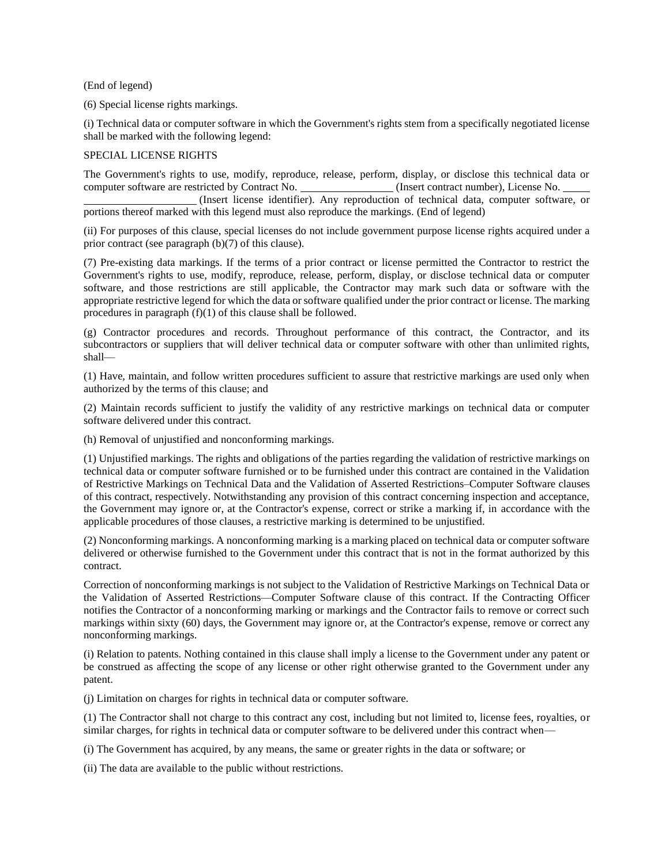(End of legend)

(6) Special license rights markings.

(i) Technical data or computer software in which the Government's rights stem from a specifically negotiated license shall be marked with the following legend:

### SPECIAL LICENSE RIGHTS

The Government's rights to use, modify, reproduce, release, perform, display, or disclose this technical data or computer software are restricted by Contract No. (Insert contract number), License No. (Insert license identifier). Any reproduction of technical data, computer software, or portions thereof marked with this legend must also reproduce the markings. (End of legend)

(ii) For purposes of this clause, special licenses do not include government purpose license rights acquired under a prior contract (see paragraph (b)(7) of this clause).

(7) Pre-existing data markings. If the terms of a prior contract or license permitted the Contractor to restrict the Government's rights to use, modify, reproduce, release, perform, display, or disclose technical data or computer software, and those restrictions are still applicable, the Contractor may mark such data or software with the appropriate restrictive legend for which the data or software qualified under the prior contract or license. The marking procedures in paragraph (f)(1) of this clause shall be followed.

(g) Contractor procedures and records. Throughout performance of this contract, the Contractor, and its subcontractors or suppliers that will deliver technical data or computer software with other than unlimited rights, shall—

(1) Have, maintain, and follow written procedures sufficient to assure that restrictive markings are used only when authorized by the terms of this clause; and

(2) Maintain records sufficient to justify the validity of any restrictive markings on technical data or computer software delivered under this contract.

(h) Removal of unjustified and nonconforming markings.

(1) Unjustified markings. The rights and obligations of the parties regarding the validation of restrictive markings on technical data or computer software furnished or to be furnished under this contract are contained in the Validation of Restrictive Markings on Technical Data and the Validation of Asserted Restrictions–Computer Software clauses of this contract, respectively. Notwithstanding any provision of this contract concerning inspection and acceptance, the Government may ignore or, at the Contractor's expense, correct or strike a marking if, in accordance with the applicable procedures of those clauses, a restrictive marking is determined to be unjustified.

(2) Nonconforming markings. A nonconforming marking is a marking placed on technical data or computer software delivered or otherwise furnished to the Government under this contract that is not in the format authorized by this contract.

Correction of nonconforming markings is not subject to the Validation of Restrictive Markings on Technical Data or the Validation of Asserted Restrictions—Computer Software clause of this contract. If the Contracting Officer notifies the Contractor of a nonconforming marking or markings and the Contractor fails to remove or correct such markings within sixty (60) days, the Government may ignore or, at the Contractor's expense, remove or correct any nonconforming markings.

(i) Relation to patents. Nothing contained in this clause shall imply a license to the Government under any patent or be construed as affecting the scope of any license or other right otherwise granted to the Government under any patent.

(j) Limitation on charges for rights in technical data or computer software.

(1) The Contractor shall not charge to this contract any cost, including but not limited to, license fees, royalties, or similar charges, for rights in technical data or computer software to be delivered under this contract when—

(i) The Government has acquired, by any means, the same or greater rights in the data or software; or

(ii) The data are available to the public without restrictions.